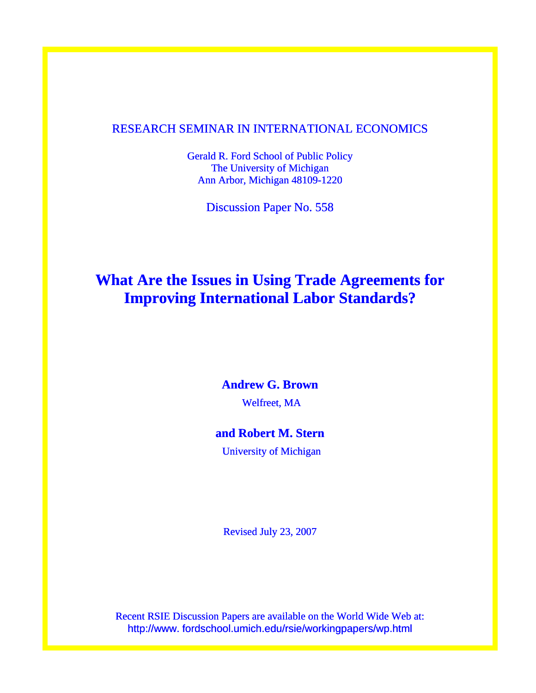## RESEARCH SEMINAR IN INTERNATIONAL ECONOMICS

Gerald R. Ford School of Public Policy The University of Michigan Ann Arbor, Michigan 48109-1220

Discussion Paper No. 558

## **What Are the Issues in Using Trade Agreements for Improving International Labor Standards?**

### **Andrew G. Brown**

Welfreet, MA

## **and Robert M. Stern**

University of Michigan

Revised July 23, 2007

Recent RSIE Discussion Papers are available on the World Wide Web at: http://www. fordschool.umich.edu/rsie/workingpapers/wp.html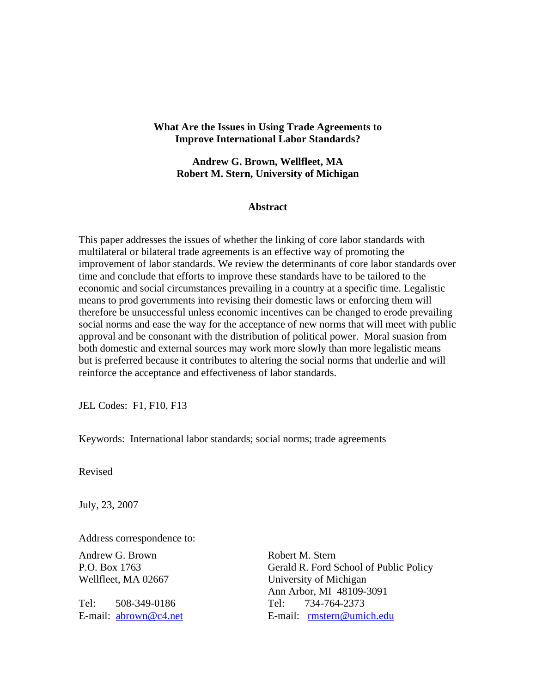#### **What Are the Issues in Using Trade Agreements to Improve International Labor Standards?**

**Andrew G. Brown, Wellfleet, MA Robert M. Stern, University of Michigan** 

#### **Abstract**

This paper addresses the issues of whether the linking of core labor standards with multilateral or bilateral trade agreements is an effective way of promoting the improvement of labor standards. We review the determinants of core labor standards over time and conclude that efforts to improve these standards have to be tailored to the economic and social circumstances prevailing in a country at a specific time. Legalistic means to prod governments into revising their domestic laws or enforcing them will therefore be unsuccessful unless economic incentives can be changed to erode prevailing social norms and ease the way for the acceptance of new norms that will meet with public approval and be consonant with the distribution of political power. Moral suasion from both domestic and external sources may work more slowly than more legalistic means but is preferred because it contributes to altering the social norms that underlie and will reinforce the acceptance and effectiveness of labor standards.

JEL Codes: F1, F10, F13

Keywords: International labor standards; social norms; trade agreements

Revised

July, 23, 2007

Address correspondence to:

Andrew G. Brown Robert M. Stern

Tel: 508-349-0186 Tel: 734-764-2373

P.O. Box 1763 Gerald R. Ford School of Public Policy Wellfleet, MA 02667 University of Michigan Ann Arbor, MI 48109-3091 E-mail: [abrown@c4.net](mailto:abrown@c4.net) E-mail: [rmstern@umich.edu](mailto:rmstern@umich.edu)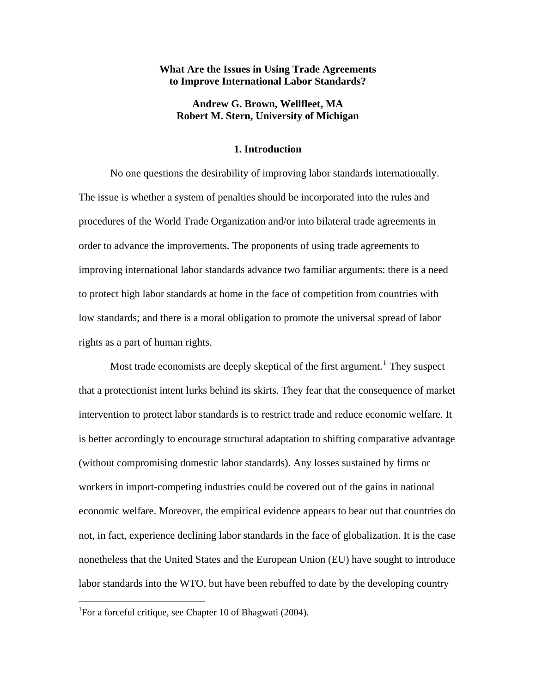#### **What Are the Issues in Using Trade Agreements to Improve International Labor Standards?**

#### **Andrew G. Brown, Wellfleet, MA Robert M. Stern, University of Michigan**

#### **1. Introduction**

 No one questions the desirability of improving labor standards internationally. The issue is whether a system of penalties should be incorporated into the rules and procedures of the World Trade Organization and/or into bilateral trade agreements in order to advance the improvements. The proponents of using trade agreements to improving international labor standards advance two familiar arguments: there is a need to protect high labor standards at home in the face of competition from countries with low standards; and there is a moral obligation to promote the universal spread of labor rights as a part of human rights.

Most trade economists are deeply skeptical of the first argument.<sup>[1](#page-2-0)</sup> They suspect that a protectionist intent lurks behind its skirts. They fear that the consequence of market intervention to protect labor standards is to restrict trade and reduce economic welfare. It is better accordingly to encourage structural adaptation to shifting comparative advantage (without compromising domestic labor standards). Any losses sustained by firms or workers in import-competing industries could be covered out of the gains in national economic welfare. Moreover, the empirical evidence appears to bear out that countries do not, in fact, experience declining labor standards in the face of globalization. It is the case nonetheless that the United States and the European Union (EU) have sought to introduce labor standards into the WTO, but have been rebuffed to date by the developing country

<span id="page-2-0"></span><sup>&</sup>lt;sup>1</sup>For a forceful critique, see Chapter 10 of Bhagwati (2004).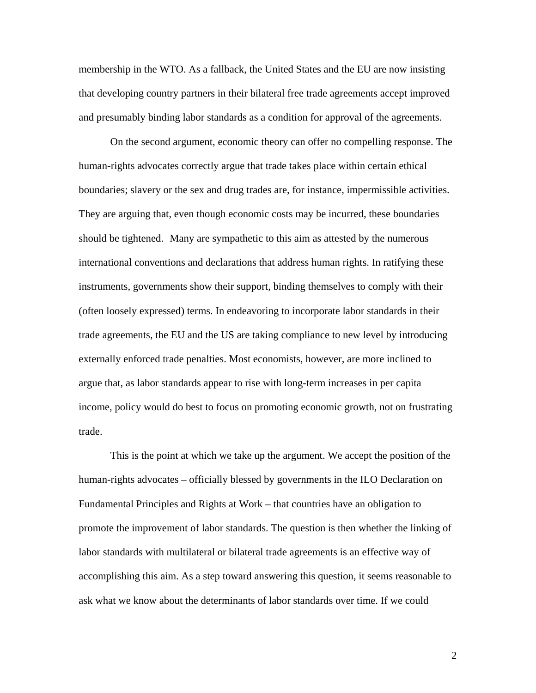membership in the WTO. As a fallback, the United States and the EU are now insisting that developing country partners in their bilateral free trade agreements accept improved and presumably binding labor standards as a condition for approval of the agreements.

On the second argument, economic theory can offer no compelling response. The human-rights advocates correctly argue that trade takes place within certain ethical boundaries; slavery or the sex and drug trades are, for instance, impermissible activities. They are arguing that, even though economic costs may be incurred, these boundaries should be tightened. Many are sympathetic to this aim as attested by the numerous international conventions and declarations that address human rights. In ratifying these instruments, governments show their support, binding themselves to comply with their (often loosely expressed) terms. In endeavoring to incorporate labor standards in their trade agreements, the EU and the US are taking compliance to new level by introducing externally enforced trade penalties. Most economists, however, are more inclined to argue that, as labor standards appear to rise with long-term increases in per capita income, policy would do best to focus on promoting economic growth, not on frustrating trade.

This is the point at which we take up the argument. We accept the position of the human-rights advocates – officially blessed by governments in the ILO Declaration on Fundamental Principles and Rights at Work – that countries have an obligation to promote the improvement of labor standards. The question is then whether the linking of labor standards with multilateral or bilateral trade agreements is an effective way of accomplishing this aim. As a step toward answering this question, it seems reasonable to ask what we know about the determinants of labor standards over time. If we could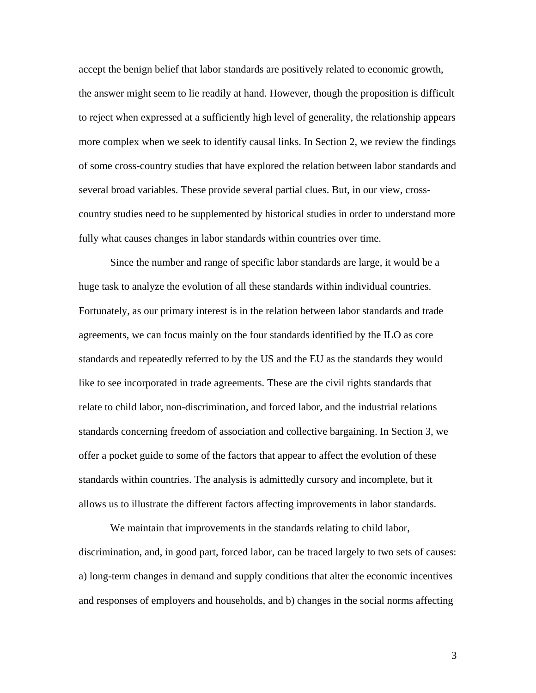accept the benign belief that labor standards are positively related to economic growth, the answer might seem to lie readily at hand. However, though the proposition is difficult to reject when expressed at a sufficiently high level of generality, the relationship appears more complex when we seek to identify causal links. In Section 2, we review the findings of some cross-country studies that have explored the relation between labor standards and several broad variables. These provide several partial clues. But, in our view, crosscountry studies need to be supplemented by historical studies in order to understand more fully what causes changes in labor standards within countries over time.

Since the number and range of specific labor standards are large, it would be a huge task to analyze the evolution of all these standards within individual countries. Fortunately, as our primary interest is in the relation between labor standards and trade agreements, we can focus mainly on the four standards identified by the ILO as core standards and repeatedly referred to by the US and the EU as the standards they would like to see incorporated in trade agreements. These are the civil rights standards that relate to child labor, non-discrimination, and forced labor, and the industrial relations standards concerning freedom of association and collective bargaining. In Section 3, we offer a pocket guide to some of the factors that appear to affect the evolution of these standards within countries. The analysis is admittedly cursory and incomplete, but it allows us to illustrate the different factors affecting improvements in labor standards.

We maintain that improvements in the standards relating to child labor, discrimination, and, in good part, forced labor, can be traced largely to two sets of causes: a) long-term changes in demand and supply conditions that alter the economic incentives and responses of employers and households, and b) changes in the social norms affecting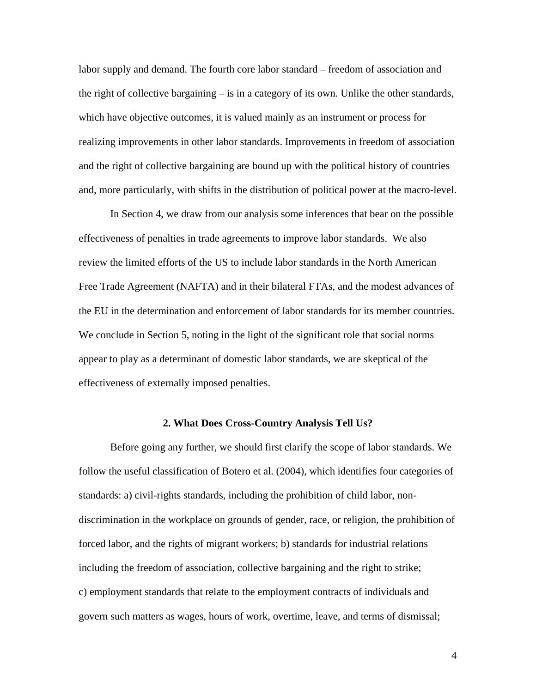labor supply and demand. The fourth core labor standard – freedom of association and the right of collective bargaining – is in a category of its own. Unlike the other standards, which have objective outcomes, it is valued mainly as an instrument or process for realizing improvements in other labor standards. Improvements in freedom of association and the right of collective bargaining are bound up with the political history of countries and, more particularly, with shifts in the distribution of political power at the macro-level.

In Section 4, we draw from our analysis some inferences that bear on the possible effectiveness of penalties in trade agreements to improve labor standards. We also review the limited efforts of the US to include labor standards in the North American Free Trade Agreement (NAFTA) and in their bilateral FTAs, and the modest advances of the EU in the determination and enforcement of labor standards for its member countries. We conclude in Section 5, noting in the light of the significant role that social norms appear to play as a determinant of domestic labor standards, we are skeptical of the effectiveness of externally imposed penalties.

#### **2. What Does Cross-Country Analysis Tell Us?**

Before going any further, we should first clarify the scope of labor standards. We follow the useful classification of Botero et al. (2004), which identifies four categories of standards: a) civil-rights standards, including the prohibition of child labor, nondiscrimination in the workplace on grounds of gender, race, or religion, the prohibition of forced labor, and the rights of migrant workers; b) standards for industrial relations including the freedom of association, collective bargaining and the right to strike; c) employment standards that relate to the employment contracts of individuals and govern such matters as wages, hours of work, overtime, leave, and terms of dismissal;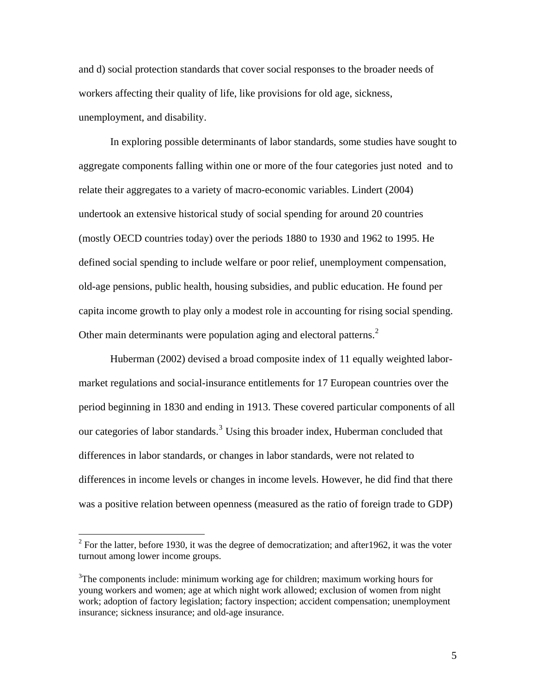and d) social protection standards that cover social responses to the broader needs of workers affecting their quality of life, like provisions for old age, sickness, unemployment, and disability.

 In exploring possible determinants of labor standards, some studies have sought to aggregate components falling within one or more of the four categories just noted and to relate their aggregates to a variety of macro-economic variables. Lindert (2004) undertook an extensive historical study of social spending for around 20 countries (mostly OECD countries today) over the periods 1880 to 1930 and 1962 to 1995. He defined social spending to include welfare or poor relief, unemployment compensation, old-age pensions, public health, housing subsidies, and public education. He found per capita income growth to play only a modest role in accounting for rising social spending. Other main determinants were population aging and electoral patterns. $2$ 

Huberman (2002) devised a broad composite index of 11 equally weighted labormarket regulations and social-insurance entitlements for 17 European countries over the period beginning in 1830 and ending in 1913. These covered particular components of all our categories of labor standards.<sup>[3](#page-6-1)</sup> Using this broader index, Huberman concluded that differences in labor standards, or changes in labor standards, were not related to differences in income levels or changes in income levels. However, he did find that there was a positive relation between openness (measured as the ratio of foreign trade to GDP)

<span id="page-6-0"></span><sup>&</sup>lt;sup>2</sup> For the latter, before 1930, it was the degree of democratization; and after 1962, it was the voter turnout among lower income groups.

<span id="page-6-1"></span> $3$ The components include: minimum working age for children; maximum working hours for young workers and women; age at which night work allowed; exclusion of women from night work; adoption of factory legislation; factory inspection; accident compensation; unemployment insurance; sickness insurance; and old-age insurance.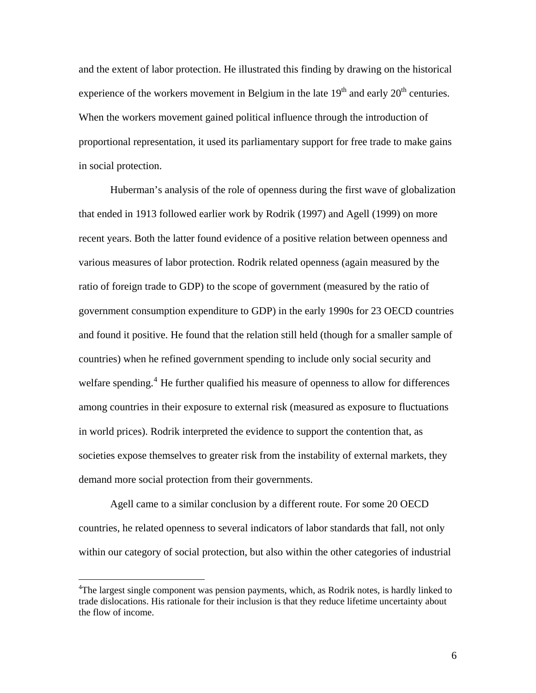and the extent of labor protection. He illustrated this finding by drawing on the historical experience of the workers movement in Belgium in the late  $19<sup>th</sup>$  and early  $20<sup>th</sup>$  centuries. When the workers movement gained political influence through the introduction of proportional representation, it used its parliamentary support for free trade to make gains in social protection.

 Huberman's analysis of the role of openness during the first wave of globalization that ended in 1913 followed earlier work by Rodrik (1997) and Agell (1999) on more recent years. Both the latter found evidence of a positive relation between openness and various measures of labor protection. Rodrik related openness (again measured by the ratio of foreign trade to GDP) to the scope of government (measured by the ratio of government consumption expenditure to GDP) in the early 1990s for 23 OECD countries and found it positive. He found that the relation still held (though for a smaller sample of countries) when he refined government spending to include only social security and welfare spending.<sup>[4](#page-7-0)</sup> He further qualified his measure of openness to allow for differences among countries in their exposure to external risk (measured as exposure to fluctuations in world prices). Rodrik interpreted the evidence to support the contention that, as societies expose themselves to greater risk from the instability of external markets, they demand more social protection from their governments.

 Agell came to a similar conclusion by a different route. For some 20 OECD countries, he related openness to several indicators of labor standards that fall, not only within our category of social protection, but also within the other categories of industrial

 $\overline{a}$ 

<span id="page-7-0"></span><sup>&</sup>lt;sup>4</sup>The largest single component was pension payments, which, as Rodrik notes, is hardly linked to trade dislocations. His rationale for their inclusion is that they reduce lifetime uncertainty about the flow of income.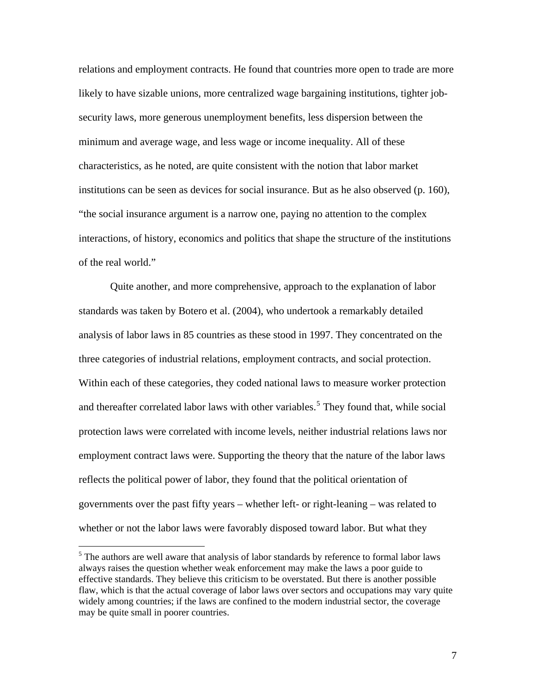relations and employment contracts. He found that countries more open to trade are more likely to have sizable unions, more centralized wage bargaining institutions, tighter jobsecurity laws, more generous unemployment benefits, less dispersion between the minimum and average wage, and less wage or income inequality. All of these characteristics, as he noted, are quite consistent with the notion that labor market institutions can be seen as devices for social insurance. But as he also observed (p. 160), "the social insurance argument is a narrow one, paying no attention to the complex interactions, of history, economics and politics that shape the structure of the institutions of the real world."

Quite another, and more comprehensive, approach to the explanation of labor standards was taken by Botero et al. (2004), who undertook a remarkably detailed analysis of labor laws in 85 countries as these stood in 1997. They concentrated on the three categories of industrial relations, employment contracts, and social protection. Within each of these categories, they coded national laws to measure worker protection and thereafter correlated labor laws with other variables.<sup>[5](#page-8-0)</sup> They found that, while social protection laws were correlated with income levels, neither industrial relations laws nor employment contract laws were. Supporting the theory that the nature of the labor laws reflects the political power of labor, they found that the political orientation of governments over the past fifty years – whether left- or right-leaning – was related to whether or not the labor laws were favorably disposed toward labor. But what they

<span id="page-8-0"></span><sup>&</sup>lt;sup>5</sup> The authors are well aware that analysis of labor standards by reference to formal labor laws always raises the question whether weak enforcement may make the laws a poor guide to effective standards. They believe this criticism to be overstated. But there is another possible flaw, which is that the actual coverage of labor laws over sectors and occupations may vary quite widely among countries; if the laws are confined to the modern industrial sector, the coverage may be quite small in poorer countries.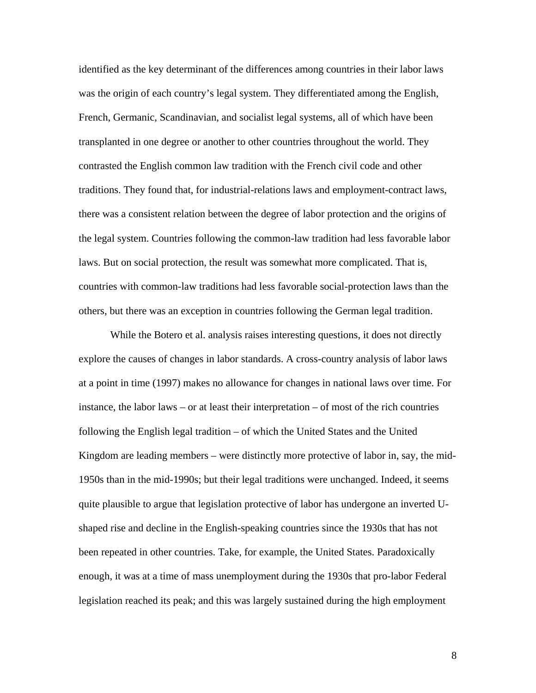identified as the key determinant of the differences among countries in their labor laws was the origin of each country's legal system. They differentiated among the English, French, Germanic, Scandinavian, and socialist legal systems, all of which have been transplanted in one degree or another to other countries throughout the world. They contrasted the English common law tradition with the French civil code and other traditions. They found that, for industrial-relations laws and employment-contract laws, there was a consistent relation between the degree of labor protection and the origins of the legal system. Countries following the common-law tradition had less favorable labor laws. But on social protection, the result was somewhat more complicated. That is, countries with common-law traditions had less favorable social-protection laws than the others, but there was an exception in countries following the German legal tradition.

While the Botero et al. analysis raises interesting questions, it does not directly explore the causes of changes in labor standards. A cross-country analysis of labor laws at a point in time (1997) makes no allowance for changes in national laws over time. For instance, the labor laws – or at least their interpretation – of most of the rich countries following the English legal tradition – of which the United States and the United Kingdom are leading members – were distinctly more protective of labor in, say, the mid-1950s than in the mid-1990s; but their legal traditions were unchanged. Indeed, it seems quite plausible to argue that legislation protective of labor has undergone an inverted Ushaped rise and decline in the English-speaking countries since the 1930s that has not been repeated in other countries. Take, for example, the United States. Paradoxically enough, it was at a time of mass unemployment during the 1930s that pro-labor Federal legislation reached its peak; and this was largely sustained during the high employment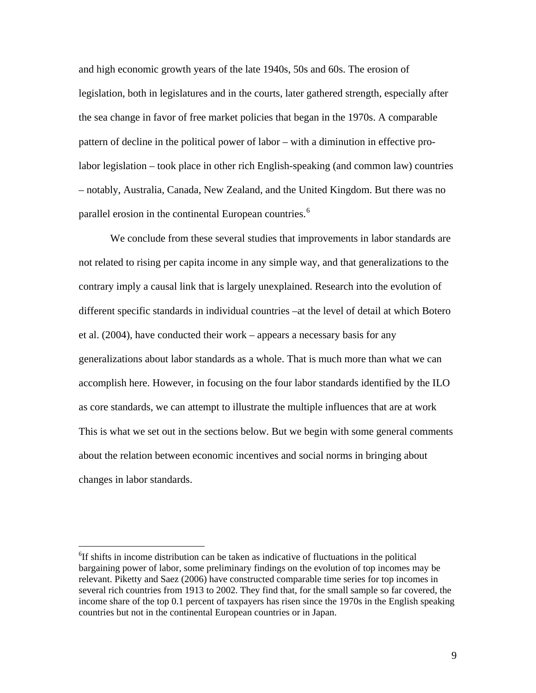and high economic growth years of the late 1940s, 50s and 60s. The erosion of legislation, both in legislatures and in the courts, later gathered strength, especially after the sea change in favor of free market policies that began in the 1970s. A comparable pattern of decline in the political power of labor – with a diminution in effective prolabor legislation – took place in other rich English-speaking (and common law) countries – notably, Australia, Canada, New Zealand, and the United Kingdom. But there was no parallel erosion in the continental European countries.<sup>[6](#page-10-0)</sup>

We conclude from these several studies that improvements in labor standards are not related to rising per capita income in any simple way, and that generalizations to the contrary imply a causal link that is largely unexplained. Research into the evolution of different specific standards in individual countries –at the level of detail at which Botero et al. (2004), have conducted their work – appears a necessary basis for any generalizations about labor standards as a whole. That is much more than what we can accomplish here. However, in focusing on the four labor standards identified by the ILO as core standards, we can attempt to illustrate the multiple influences that are at work This is what we set out in the sections below. But we begin with some general comments about the relation between economic incentives and social norms in bringing about changes in labor standards.

<span id="page-10-0"></span><sup>6</sup> If shifts in income distribution can be taken as indicative of fluctuations in the political bargaining power of labor, some preliminary findings on the evolution of top incomes may be relevant. Piketty and Saez (2006) have constructed comparable time series for top incomes in several rich countries from 1913 to 2002. They find that, for the small sample so far covered, the income share of the top 0.1 percent of taxpayers has risen since the 1970s in the English speaking countries but not in the continental European countries or in Japan.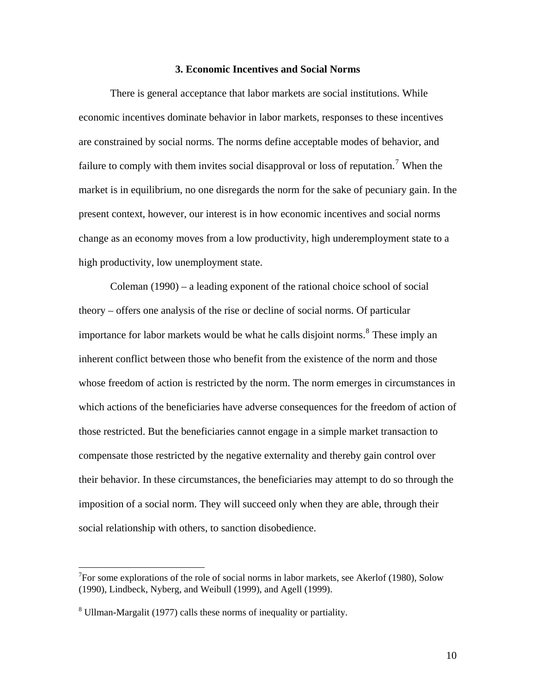#### **3. Economic Incentives and Social Norms**

 There is general acceptance that labor markets are social institutions. While economic incentives dominate behavior in labor markets, responses to these incentives are constrained by social norms. The norms define acceptable modes of behavior, and failure to comply with them invites social disapproval or loss of reputation.<sup>[7](#page-11-0)</sup> When the market is in equilibrium, no one disregards the norm for the sake of pecuniary gain. In the present context, however, our interest is in how economic incentives and social norms change as an economy moves from a low productivity, high underemployment state to a high productivity, low unemployment state.

 Coleman (1990) – a leading exponent of the rational choice school of social theory – offers one analysis of the rise or decline of social norms. Of particular importance for labor markets would be what he calls disjoint norms.<sup>[8](#page-11-1)</sup> These imply an inherent conflict between those who benefit from the existence of the norm and those whose freedom of action is restricted by the norm. The norm emerges in circumstances in which actions of the beneficiaries have adverse consequences for the freedom of action of those restricted. But the beneficiaries cannot engage in a simple market transaction to compensate those restricted by the negative externality and thereby gain control over their behavior. In these circumstances, the beneficiaries may attempt to do so through the imposition of a social norm. They will succeed only when they are able, through their social relationship with others, to sanction disobedience.

<u>.</u>

<span id="page-11-0"></span><sup>&</sup>lt;sup>7</sup>For some explorations of the role of social norms in labor markets, see Akerlof (1980), Solow (1990), Lindbeck, Nyberg, and Weibull (1999), and Agell (1999).

<span id="page-11-1"></span><sup>&</sup>lt;sup>8</sup> Ullman-Margalit (1977) calls these norms of inequality or partiality.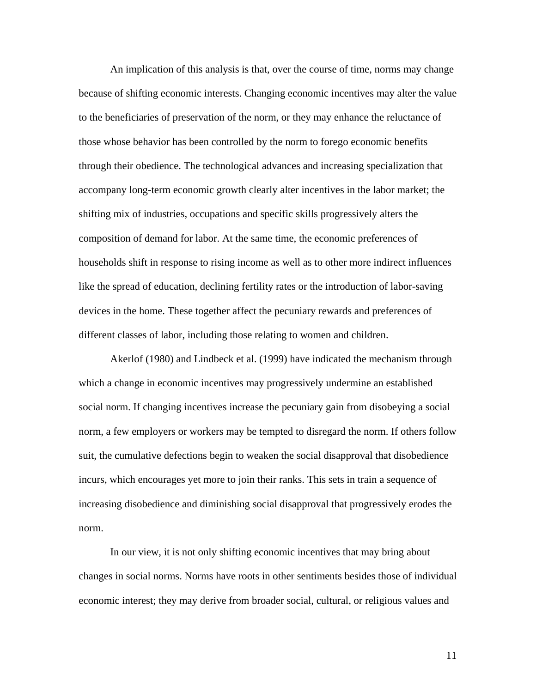An implication of this analysis is that, over the course of time, norms may change because of shifting economic interests. Changing economic incentives may alter the value to the beneficiaries of preservation of the norm, or they may enhance the reluctance of those whose behavior has been controlled by the norm to forego economic benefits through their obedience. The technological advances and increasing specialization that accompany long-term economic growth clearly alter incentives in the labor market; the shifting mix of industries, occupations and specific skills progressively alters the composition of demand for labor. At the same time, the economic preferences of households shift in response to rising income as well as to other more indirect influences like the spread of education, declining fertility rates or the introduction of labor-saving devices in the home. These together affect the pecuniary rewards and preferences of different classes of labor, including those relating to women and children.

 Akerlof (1980) and Lindbeck et al. (1999) have indicated the mechanism through which a change in economic incentives may progressively undermine an established social norm. If changing incentives increase the pecuniary gain from disobeying a social norm, a few employers or workers may be tempted to disregard the norm. If others follow suit, the cumulative defections begin to weaken the social disapproval that disobedience incurs, which encourages yet more to join their ranks. This sets in train a sequence of increasing disobedience and diminishing social disapproval that progressively erodes the norm.

 In our view, it is not only shifting economic incentives that may bring about changes in social norms. Norms have roots in other sentiments besides those of individual economic interest; they may derive from broader social, cultural, or religious values and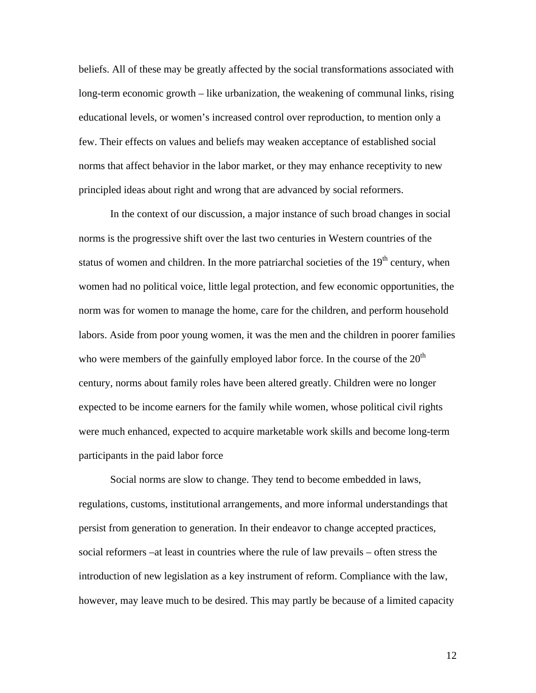beliefs. All of these may be greatly affected by the social transformations associated with long-term economic growth – like urbanization, the weakening of communal links, rising educational levels, or women's increased control over reproduction, to mention only a few. Their effects on values and beliefs may weaken acceptance of established social norms that affect behavior in the labor market, or they may enhance receptivity to new principled ideas about right and wrong that are advanced by social reformers.

In the context of our discussion, a major instance of such broad changes in social norms is the progressive shift over the last two centuries in Western countries of the status of women and children. In the more patriarchal societies of the  $19<sup>th</sup>$  century, when women had no political voice, little legal protection, and few economic opportunities, the norm was for women to manage the home, care for the children, and perform household labors. Aside from poor young women, it was the men and the children in poorer families who were members of the gainfully employed labor force. In the course of the  $20<sup>th</sup>$ century, norms about family roles have been altered greatly. Children were no longer expected to be income earners for the family while women, whose political civil rights were much enhanced, expected to acquire marketable work skills and become long-term participants in the paid labor force

 Social norms are slow to change. They tend to become embedded in laws, regulations, customs, institutional arrangements, and more informal understandings that persist from generation to generation. In their endeavor to change accepted practices, social reformers –at least in countries where the rule of law prevails – often stress the introduction of new legislation as a key instrument of reform. Compliance with the law, however, may leave much to be desired. This may partly be because of a limited capacity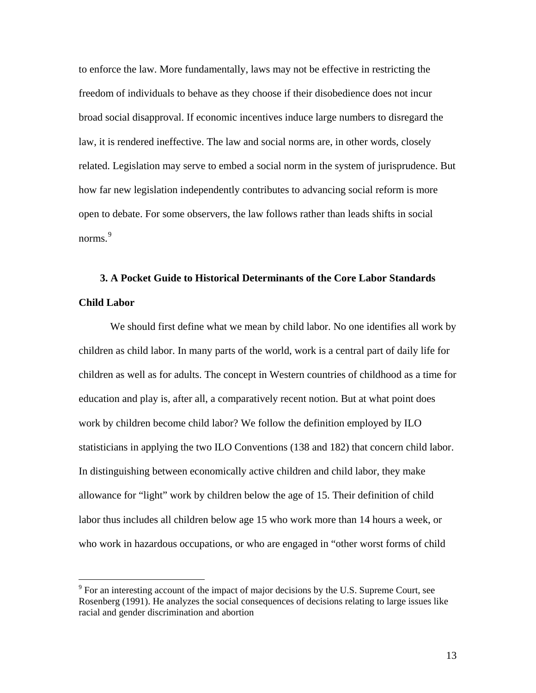to enforce the law. More fundamentally, laws may not be effective in restricting the freedom of individuals to behave as they choose if their disobedience does not incur broad social disapproval. If economic incentives induce large numbers to disregard the law, it is rendered ineffective. The law and social norms are, in other words, closely related. Legislation may serve to embed a social norm in the system of jurisprudence. But how far new legislation independently contributes to advancing social reform is more open to debate. For some observers, the law follows rather than leads shifts in social norms.<sup>[9](#page-14-0)</sup>

# **3. A Pocket Guide to Historical Determinants of the Core Labor Standards Child Labor**

 We should first define what we mean by child labor. No one identifies all work by children as child labor. In many parts of the world, work is a central part of daily life for children as well as for adults. The concept in Western countries of childhood as a time for education and play is, after all, a comparatively recent notion. But at what point does work by children become child labor? We follow the definition employed by ILO statisticians in applying the two ILO Conventions (138 and 182) that concern child labor. In distinguishing between economically active children and child labor, they make allowance for "light" work by children below the age of 15. Their definition of child labor thus includes all children below age 15 who work more than 14 hours a week, or who work in hazardous occupations, or who are engaged in "other worst forms of child

<span id="page-14-0"></span> $9^9$  For an interesting account of the impact of major decisions by the U.S. Supreme Court, see Rosenberg (1991). He analyzes the social consequences of decisions relating to large issues like racial and gender discrimination and abortion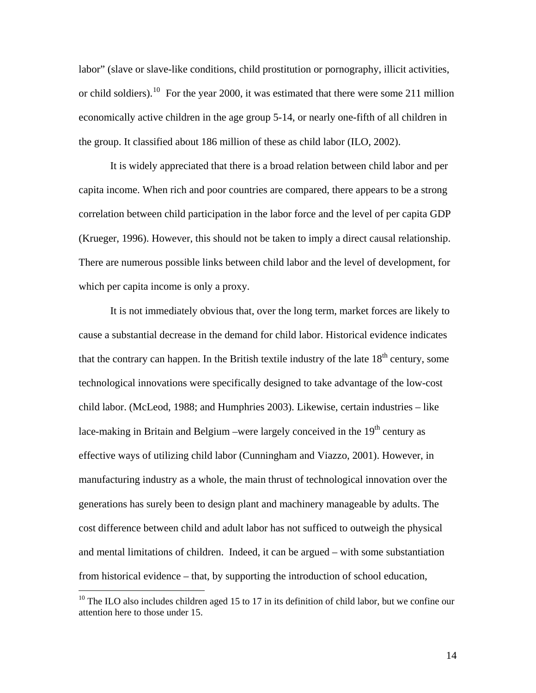labor" (slave or slave-like conditions, child prostitution or pornography, illicit activities, or child soldiers).<sup>[10](#page-15-0)</sup> For the year 2000, it was estimated that there were some 211 million economically active children in the age group 5-14, or nearly one-fifth of all children in the group. It classified about 186 million of these as child labor (ILO, 2002).

It is widely appreciated that there is a broad relation between child labor and per capita income. When rich and poor countries are compared, there appears to be a strong correlation between child participation in the labor force and the level of per capita GDP (Krueger, 1996). However, this should not be taken to imply a direct causal relationship. There are numerous possible links between child labor and the level of development, for which per capita income is only a proxy.

It is not immediately obvious that, over the long term, market forces are likely to cause a substantial decrease in the demand for child labor. Historical evidence indicates that the contrary can happen. In the British textile industry of the late  $18<sup>th</sup>$  century, some technological innovations were specifically designed to take advantage of the low-cost child labor. (McLeod, 1988; and Humphries 2003). Likewise, certain industries – like lace-making in Britain and Belgium –were largely conceived in the  $19<sup>th</sup>$  century as effective ways of utilizing child labor (Cunningham and Viazzo, 2001). However, in manufacturing industry as a whole, the main thrust of technological innovation over the generations has surely been to design plant and machinery manageable by adults. The cost difference between child and adult labor has not sufficed to outweigh the physical and mental limitations of children. Indeed, it can be argued – with some substantiation from historical evidence – that, by supporting the introduction of school education,

 $\overline{a}$ 

<span id="page-15-0"></span> $10$  The ILO also includes children aged 15 to 17 in its definition of child labor, but we confine our attention here to those under 15.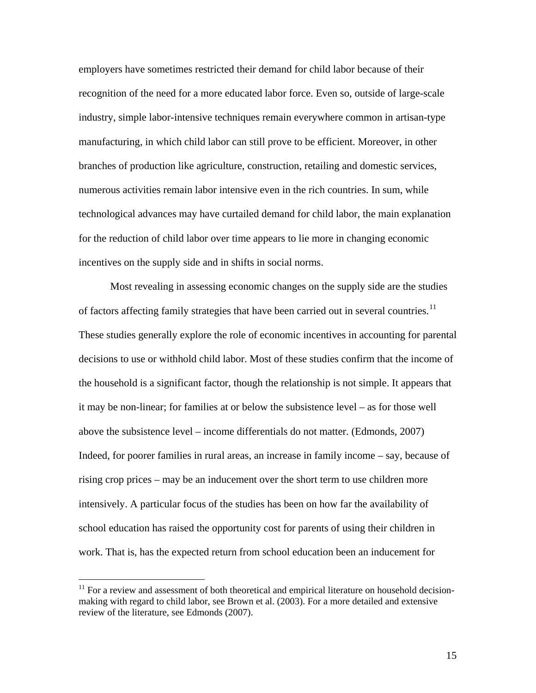employers have sometimes restricted their demand for child labor because of their recognition of the need for a more educated labor force. Even so, outside of large-scale industry, simple labor-intensive techniques remain everywhere common in artisan-type manufacturing, in which child labor can still prove to be efficient. Moreover, in other branches of production like agriculture, construction, retailing and domestic services, numerous activities remain labor intensive even in the rich countries. In sum, while technological advances may have curtailed demand for child labor, the main explanation for the reduction of child labor over time appears to lie more in changing economic incentives on the supply side and in shifts in social norms.

Most revealing in assessing economic changes on the supply side are the studies of factors affecting family strategies that have been carried out in several countries.<sup>[11](#page-16-0)</sup> These studies generally explore the role of economic incentives in accounting for parental decisions to use or withhold child labor. Most of these studies confirm that the income of the household is a significant factor, though the relationship is not simple. It appears that it may be non-linear; for families at or below the subsistence level – as for those well above the subsistence level – income differentials do not matter. (Edmonds, 2007) Indeed, for poorer families in rural areas, an increase in family income – say, because of rising crop prices – may be an inducement over the short term to use children more intensively. A particular focus of the studies has been on how far the availability of school education has raised the opportunity cost for parents of using their children in work. That is, has the expected return from school education been an inducement for

<span id="page-16-0"></span> $11$  For a review and assessment of both theoretical and empirical literature on household decisionmaking with regard to child labor, see Brown et al. (2003). For a more detailed and extensive review of the literature, see Edmonds (2007).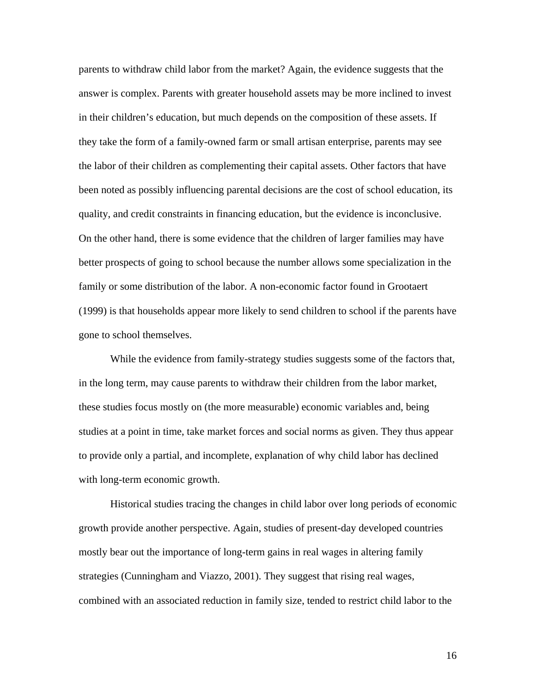parents to withdraw child labor from the market? Again, the evidence suggests that the answer is complex. Parents with greater household assets may be more inclined to invest in their children's education, but much depends on the composition of these assets. If they take the form of a family-owned farm or small artisan enterprise, parents may see the labor of their children as complementing their capital assets. Other factors that have been noted as possibly influencing parental decisions are the cost of school education, its quality, and credit constraints in financing education, but the evidence is inconclusive. On the other hand, there is some evidence that the children of larger families may have better prospects of going to school because the number allows some specialization in the family or some distribution of the labor. A non-economic factor found in Grootaert (1999) is that households appear more likely to send children to school if the parents have gone to school themselves.

While the evidence from family-strategy studies suggests some of the factors that, in the long term, may cause parents to withdraw their children from the labor market, these studies focus mostly on (the more measurable) economic variables and, being studies at a point in time, take market forces and social norms as given. They thus appear to provide only a partial, and incomplete, explanation of why child labor has declined with long-term economic growth.

 Historical studies tracing the changes in child labor over long periods of economic growth provide another perspective. Again, studies of present-day developed countries mostly bear out the importance of long-term gains in real wages in altering family strategies (Cunningham and Viazzo, 2001). They suggest that rising real wages, combined with an associated reduction in family size, tended to restrict child labor to the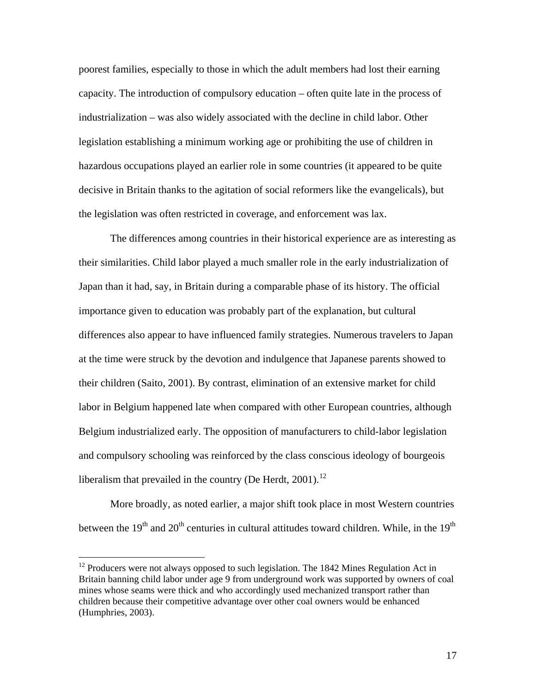poorest families, especially to those in which the adult members had lost their earning capacity. The introduction of compulsory education – often quite late in the process of industrialization – was also widely associated with the decline in child labor. Other legislation establishing a minimum working age or prohibiting the use of children in hazardous occupations played an earlier role in some countries (it appeared to be quite decisive in Britain thanks to the agitation of social reformers like the evangelicals), but the legislation was often restricted in coverage, and enforcement was lax.

 The differences among countries in their historical experience are as interesting as their similarities. Child labor played a much smaller role in the early industrialization of Japan than it had, say, in Britain during a comparable phase of its history. The official importance given to education was probably part of the explanation, but cultural differences also appear to have influenced family strategies. Numerous travelers to Japan at the time were struck by the devotion and indulgence that Japanese parents showed to their children (Saito, 2001). By contrast, elimination of an extensive market for child labor in Belgium happened late when compared with other European countries, although Belgium industrialized early. The opposition of manufacturers to child-labor legislation and compulsory schooling was reinforced by the class conscious ideology of bourgeois liberalism that prevailed in the country (De Herdt,  $2001$ ).<sup>[12](#page-18-0)</sup>

More broadly, as noted earlier, a major shift took place in most Western countries between the  $19<sup>th</sup>$  and  $20<sup>th</sup>$  centuries in cultural attitudes toward children. While, in the  $19<sup>th</sup>$ 

<span id="page-18-0"></span><sup>&</sup>lt;sup>12</sup> Producers were not always opposed to such legislation. The 1842 Mines Regulation Act in Britain banning child labor under age 9 from underground work was supported by owners of coal mines whose seams were thick and who accordingly used mechanized transport rather than children because their competitive advantage over other coal owners would be enhanced (Humphries, 2003).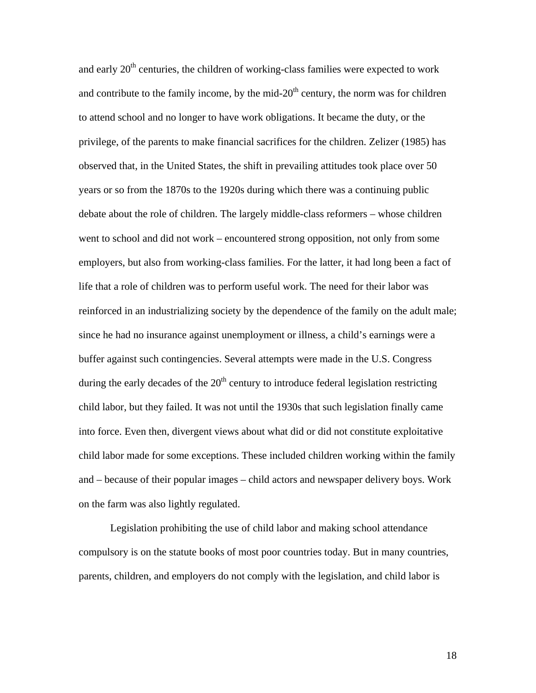and early  $20<sup>th</sup>$  centuries, the children of working-class families were expected to work and contribute to the family income, by the mid- $20<sup>th</sup>$  century, the norm was for children to attend school and no longer to have work obligations. It became the duty, or the privilege, of the parents to make financial sacrifices for the children. Zelizer (1985) has observed that, in the United States, the shift in prevailing attitudes took place over 50 years or so from the 1870s to the 1920s during which there was a continuing public debate about the role of children. The largely middle-class reformers – whose children went to school and did not work – encountered strong opposition, not only from some employers, but also from working-class families. For the latter, it had long been a fact of life that a role of children was to perform useful work. The need for their labor was reinforced in an industrializing society by the dependence of the family on the adult male; since he had no insurance against unemployment or illness, a child's earnings were a buffer against such contingencies. Several attempts were made in the U.S. Congress during the early decades of the  $20<sup>th</sup>$  century to introduce federal legislation restricting child labor, but they failed. It was not until the 1930s that such legislation finally came into force. Even then, divergent views about what did or did not constitute exploitative child labor made for some exceptions. These included children working within the family and – because of their popular images – child actors and newspaper delivery boys. Work on the farm was also lightly regulated.

 Legislation prohibiting the use of child labor and making school attendance compulsory is on the statute books of most poor countries today. But in many countries, parents, children, and employers do not comply with the legislation, and child labor is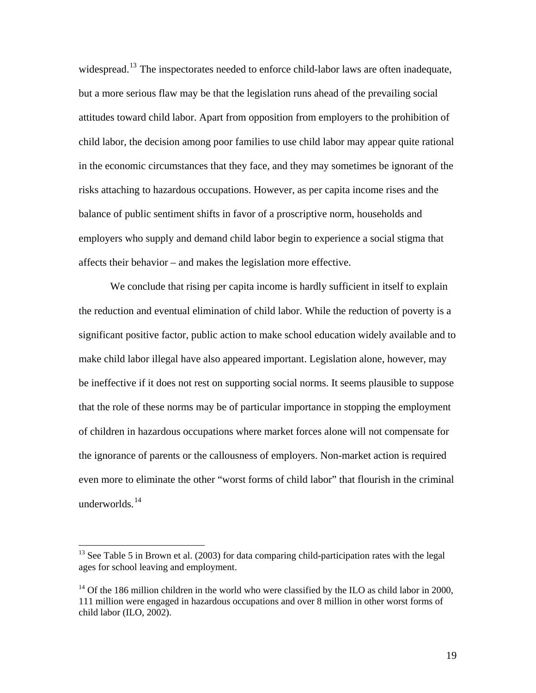widespread.<sup>[13](#page-20-0)</sup> The inspectorates needed to enforce child-labor laws are often inadequate, but a more serious flaw may be that the legislation runs ahead of the prevailing social attitudes toward child labor. Apart from opposition from employers to the prohibition of child labor, the decision among poor families to use child labor may appear quite rational in the economic circumstances that they face, and they may sometimes be ignorant of the risks attaching to hazardous occupations. However, as per capita income rises and the balance of public sentiment shifts in favor of a proscriptive norm, households and employers who supply and demand child labor begin to experience a social stigma that affects their behavior – and makes the legislation more effective.

 We conclude that rising per capita income is hardly sufficient in itself to explain the reduction and eventual elimination of child labor. While the reduction of poverty is a significant positive factor, public action to make school education widely available and to make child labor illegal have also appeared important. Legislation alone, however, may be ineffective if it does not rest on supporting social norms. It seems plausible to suppose that the role of these norms may be of particular importance in stopping the employment of children in hazardous occupations where market forces alone will not compensate for the ignorance of parents or the callousness of employers. Non-market action is required even more to eliminate the other "worst forms of child labor" that flourish in the criminal underworlds. $^{14}$  $^{14}$  $^{14}$ 

<span id="page-20-0"></span> $13$  See Table 5 in Brown et al. (2003) for data comparing child-participation rates with the legal ages for school leaving and employment.

<span id="page-20-1"></span><sup>&</sup>lt;sup>14</sup> Of the 186 million children in the world who were classified by the ILO as child labor in 2000, 111 million were engaged in hazardous occupations and over 8 million in other worst forms of child labor (ILO, 2002).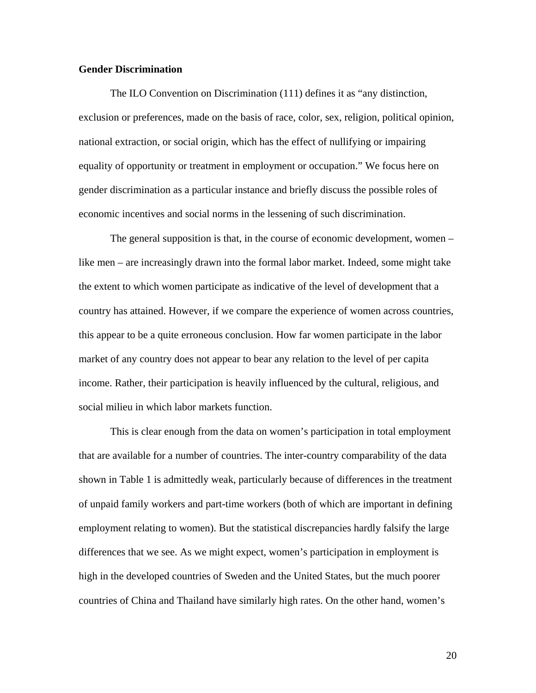#### **Gender Discrimination**

 The ILO Convention on Discrimination (111) defines it as "any distinction, exclusion or preferences, made on the basis of race, color, sex, religion, political opinion, national extraction, or social origin, which has the effect of nullifying or impairing equality of opportunity or treatment in employment or occupation." We focus here on gender discrimination as a particular instance and briefly discuss the possible roles of economic incentives and social norms in the lessening of such discrimination.

 The general supposition is that, in the course of economic development, women – like men – are increasingly drawn into the formal labor market. Indeed, some might take the extent to which women participate as indicative of the level of development that a country has attained. However, if we compare the experience of women across countries, this appear to be a quite erroneous conclusion. How far women participate in the labor market of any country does not appear to bear any relation to the level of per capita income. Rather, their participation is heavily influenced by the cultural, religious, and social milieu in which labor markets function.

 This is clear enough from the data on women's participation in total employment that are available for a number of countries. The inter-country comparability of the data shown in Table 1 is admittedly weak, particularly because of differences in the treatment of unpaid family workers and part-time workers (both of which are important in defining employment relating to women). But the statistical discrepancies hardly falsify the large differences that we see. As we might expect, women's participation in employment is high in the developed countries of Sweden and the United States, but the much poorer countries of China and Thailand have similarly high rates. On the other hand, women's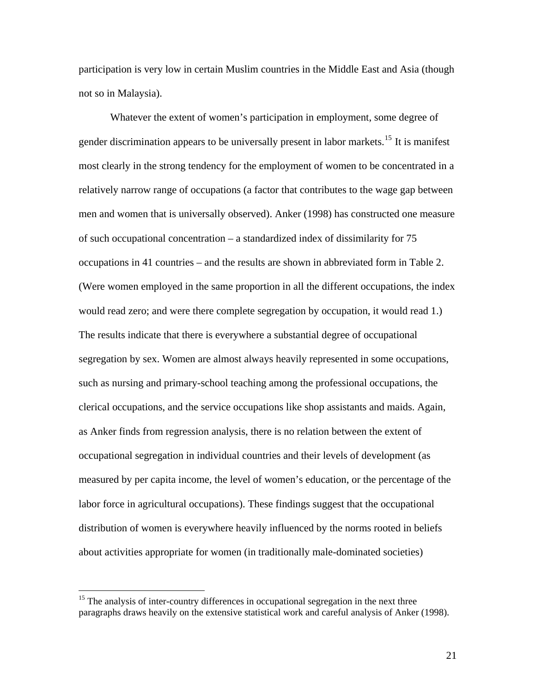participation is very low in certain Muslim countries in the Middle East and Asia (though not so in Malaysia).

 Whatever the extent of women's participation in employment, some degree of gender discrimination appears to be universally present in labor markets.<sup>[15](#page-22-0)</sup> It is manifest most clearly in the strong tendency for the employment of women to be concentrated in a relatively narrow range of occupations (a factor that contributes to the wage gap between men and women that is universally observed). Anker (1998) has constructed one measure of such occupational concentration – a standardized index of dissimilarity for 75 occupations in 41 countries – and the results are shown in abbreviated form in Table 2. (Were women employed in the same proportion in all the different occupations, the index would read zero; and were there complete segregation by occupation, it would read 1.) The results indicate that there is everywhere a substantial degree of occupational segregation by sex. Women are almost always heavily represented in some occupations, such as nursing and primary-school teaching among the professional occupations, the clerical occupations, and the service occupations like shop assistants and maids. Again, as Anker finds from regression analysis, there is no relation between the extent of occupational segregation in individual countries and their levels of development (as measured by per capita income, the level of women's education, or the percentage of the labor force in agricultural occupations). These findings suggest that the occupational distribution of women is everywhere heavily influenced by the norms rooted in beliefs about activities appropriate for women (in traditionally male-dominated societies)

 $\overline{a}$ 

<span id="page-22-0"></span> $15$  The analysis of inter-country differences in occupational segregation in the next three paragraphs draws heavily on the extensive statistical work and careful analysis of Anker (1998).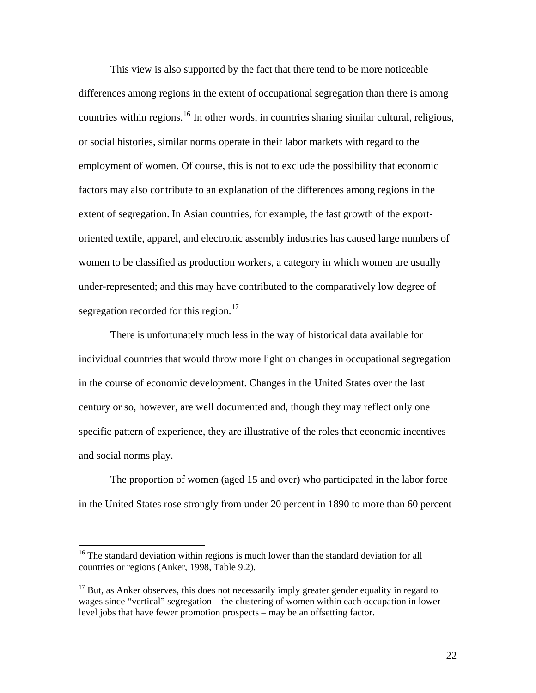This view is also supported by the fact that there tend to be more noticeable differences among regions in the extent of occupational segregation than there is among countries within regions.<sup>[16](#page-23-0)</sup> In other words, in countries sharing similar cultural, religious, or social histories, similar norms operate in their labor markets with regard to the employment of women. Of course, this is not to exclude the possibility that economic factors may also contribute to an explanation of the differences among regions in the extent of segregation. In Asian countries, for example, the fast growth of the exportoriented textile, apparel, and electronic assembly industries has caused large numbers of women to be classified as production workers, a category in which women are usually under-represented; and this may have contributed to the comparatively low degree of segregation recorded for this region.<sup>[17](#page-23-1)</sup>

There is unfortunately much less in the way of historical data available for individual countries that would throw more light on changes in occupational segregation in the course of economic development. Changes in the United States over the last century or so, however, are well documented and, though they may reflect only one specific pattern of experience, they are illustrative of the roles that economic incentives and social norms play.

The proportion of women (aged 15 and over) who participated in the labor force in the United States rose strongly from under 20 percent in 1890 to more than 60 percent

<span id="page-23-0"></span><sup>&</sup>lt;sup>16</sup> The standard deviation within regions is much lower than the standard deviation for all countries or regions (Anker, 1998, Table 9.2).

<span id="page-23-1"></span> $17$  But, as Anker observes, this does not necessarily imply greater gender equality in regard to wages since "vertical" segregation – the clustering of women within each occupation in lower level jobs that have fewer promotion prospects – may be an offsetting factor.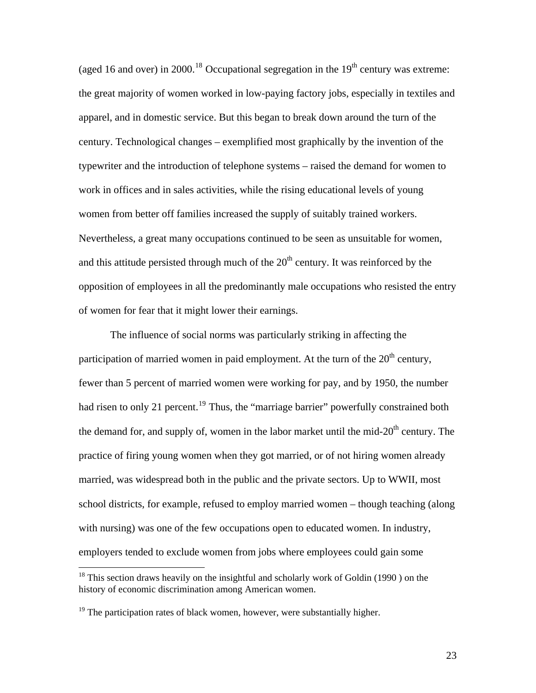(aged 16 and over) in 2000.<sup>[18](#page-24-0)</sup> Occupational segregation in the  $19<sup>th</sup>$  century was extreme: the great majority of women worked in low-paying factory jobs, especially in textiles and apparel, and in domestic service. But this began to break down around the turn of the century. Technological changes – exemplified most graphically by the invention of the typewriter and the introduction of telephone systems – raised the demand for women to work in offices and in sales activities, while the rising educational levels of young women from better off families increased the supply of suitably trained workers. Nevertheless, a great many occupations continued to be seen as unsuitable for women, and this attitude persisted through much of the  $20<sup>th</sup>$  century. It was reinforced by the opposition of employees in all the predominantly male occupations who resisted the entry of women for fear that it might lower their earnings.

 The influence of social norms was particularly striking in affecting the participation of married women in paid employment. At the turn of the  $20<sup>th</sup>$  century, fewer than 5 percent of married women were working for pay, and by 1950, the number had risen to only 21 percent.<sup>[19](#page-24-1)</sup> Thus, the "marriage barrier" powerfully constrained both the demand for, and supply of, women in the labor market until the mid- $20<sup>th</sup>$  century. The practice of firing young women when they got married, or of not hiring women already married, was widespread both in the public and the private sectors. Up to WWII, most school districts, for example, refused to employ married women – though teaching (along with nursing) was one of the few occupations open to educated women. In industry, employers tended to exclude women from jobs where employees could gain some

<u>.</u>

<span id="page-24-0"></span><sup>&</sup>lt;sup>18</sup> This section draws heavily on the insightful and scholarly work of Goldin (1990) on the history of economic discrimination among American women.

<span id="page-24-1"></span> $19$  The participation rates of black women, however, were substantially higher.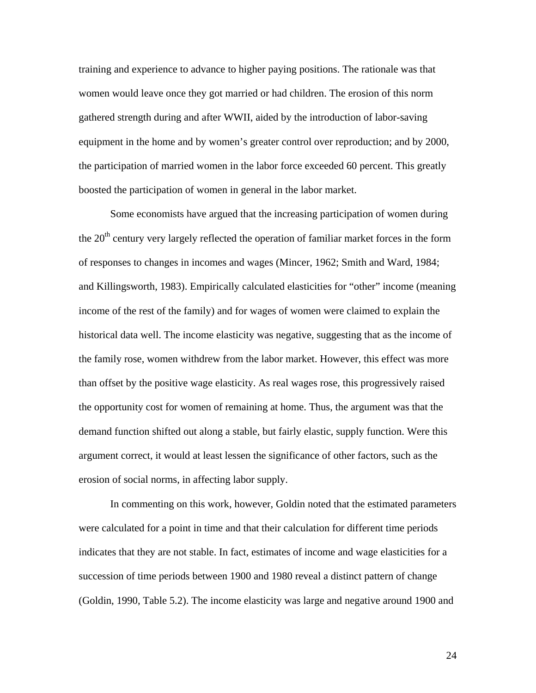training and experience to advance to higher paying positions. The rationale was that women would leave once they got married or had children. The erosion of this norm gathered strength during and after WWII, aided by the introduction of labor-saving equipment in the home and by women's greater control over reproduction; and by 2000, the participation of married women in the labor force exceeded 60 percent. This greatly boosted the participation of women in general in the labor market.

 Some economists have argued that the increasing participation of women during the  $20<sup>th</sup>$  century very largely reflected the operation of familiar market forces in the form of responses to changes in incomes and wages (Mincer, 1962; Smith and Ward, 1984; and Killingsworth, 1983). Empirically calculated elasticities for "other" income (meaning income of the rest of the family) and for wages of women were claimed to explain the historical data well. The income elasticity was negative, suggesting that as the income of the family rose, women withdrew from the labor market. However, this effect was more than offset by the positive wage elasticity. As real wages rose, this progressively raised the opportunity cost for women of remaining at home. Thus, the argument was that the demand function shifted out along a stable, but fairly elastic, supply function. Were this argument correct, it would at least lessen the significance of other factors, such as the erosion of social norms, in affecting labor supply.

In commenting on this work, however, Goldin noted that the estimated parameters were calculated for a point in time and that their calculation for different time periods indicates that they are not stable. In fact, estimates of income and wage elasticities for a succession of time periods between 1900 and 1980 reveal a distinct pattern of change (Goldin, 1990, Table 5.2). The income elasticity was large and negative around 1900 and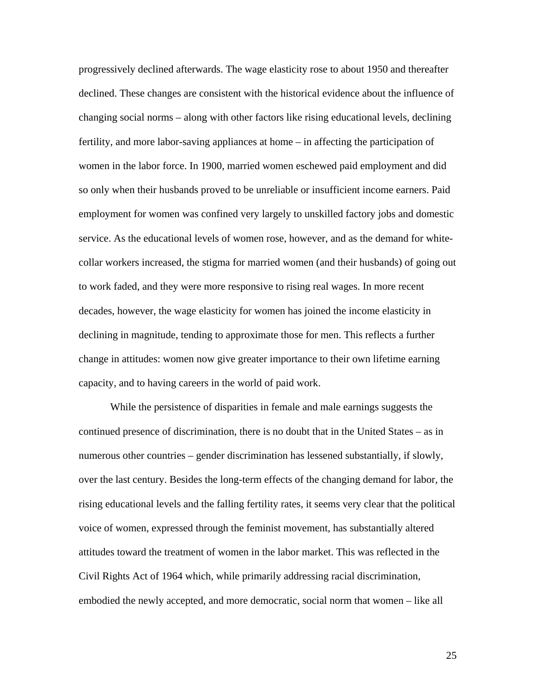progressively declined afterwards. The wage elasticity rose to about 1950 and thereafter declined. These changes are consistent with the historical evidence about the influence of changing social norms – along with other factors like rising educational levels, declining fertility, and more labor-saving appliances at home – in affecting the participation of women in the labor force. In 1900, married women eschewed paid employment and did so only when their husbands proved to be unreliable or insufficient income earners. Paid employment for women was confined very largely to unskilled factory jobs and domestic service. As the educational levels of women rose, however, and as the demand for whitecollar workers increased, the stigma for married women (and their husbands) of going out to work faded, and they were more responsive to rising real wages. In more recent decades, however, the wage elasticity for women has joined the income elasticity in declining in magnitude, tending to approximate those for men. This reflects a further change in attitudes: women now give greater importance to their own lifetime earning capacity, and to having careers in the world of paid work.

 While the persistence of disparities in female and male earnings suggests the continued presence of discrimination, there is no doubt that in the United States – as in numerous other countries – gender discrimination has lessened substantially, if slowly, over the last century. Besides the long-term effects of the changing demand for labor, the rising educational levels and the falling fertility rates, it seems very clear that the political voice of women, expressed through the feminist movement, has substantially altered attitudes toward the treatment of women in the labor market. This was reflected in the Civil Rights Act of 1964 which, while primarily addressing racial discrimination, embodied the newly accepted, and more democratic, social norm that women – like all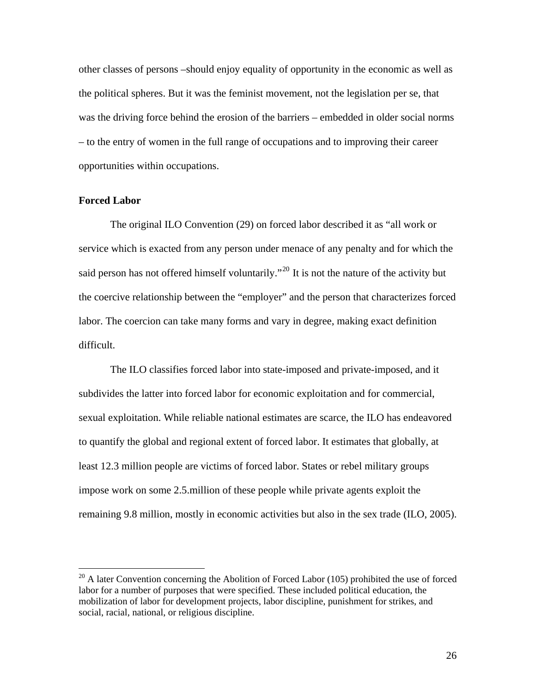other classes of persons –should enjoy equality of opportunity in the economic as well as the political spheres. But it was the feminist movement, not the legislation per se, that was the driving force behind the erosion of the barriers – embedded in older social norms – to the entry of women in the full range of occupations and to improving their career opportunities within occupations.

#### **Forced Labor**

1

The original ILO Convention (29) on forced labor described it as "all work or service which is exacted from any person under menace of any penalty and for which the said person has not offered himself voluntarily."<sup>[20](#page-27-0)</sup> It is not the nature of the activity but the coercive relationship between the "employer" and the person that characterizes forced labor. The coercion can take many forms and vary in degree, making exact definition difficult.

 The ILO classifies forced labor into state-imposed and private-imposed, and it subdivides the latter into forced labor for economic exploitation and for commercial, sexual exploitation. While reliable national estimates are scarce, the ILO has endeavored to quantify the global and regional extent of forced labor. It estimates that globally, at least 12.3 million people are victims of forced labor. States or rebel military groups impose work on some 2.5.million of these people while private agents exploit the remaining 9.8 million, mostly in economic activities but also in the sex trade (ILO, 2005).

<span id="page-27-0"></span> $^{20}$  A later Convention concerning the Abolition of Forced Labor (105) prohibited the use of forced labor for a number of purposes that were specified. These included political education, the mobilization of labor for development projects, labor discipline, punishment for strikes, and social, racial, national, or religious discipline.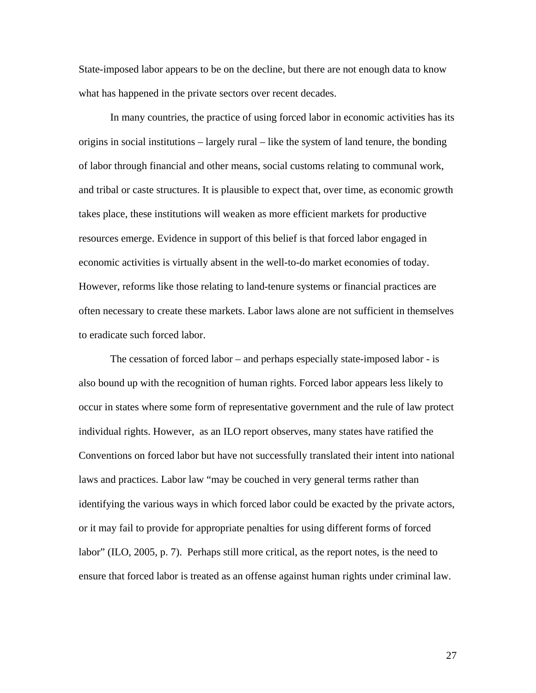State-imposed labor appears to be on the decline, but there are not enough data to know what has happened in the private sectors over recent decades.

 In many countries, the practice of using forced labor in economic activities has its origins in social institutions – largely rural – like the system of land tenure, the bonding of labor through financial and other means, social customs relating to communal work, and tribal or caste structures. It is plausible to expect that, over time, as economic growth takes place, these institutions will weaken as more efficient markets for productive resources emerge. Evidence in support of this belief is that forced labor engaged in economic activities is virtually absent in the well-to-do market economies of today. However, reforms like those relating to land-tenure systems or financial practices are often necessary to create these markets. Labor laws alone are not sufficient in themselves to eradicate such forced labor.

 The cessation of forced labor – and perhaps especially state-imposed labor - is also bound up with the recognition of human rights. Forced labor appears less likely to occur in states where some form of representative government and the rule of law protect individual rights. However, as an ILO report observes, many states have ratified the Conventions on forced labor but have not successfully translated their intent into national laws and practices. Labor law "may be couched in very general terms rather than identifying the various ways in which forced labor could be exacted by the private actors, or it may fail to provide for appropriate penalties for using different forms of forced labor" (ILO, 2005, p. 7). Perhaps still more critical, as the report notes, is the need to ensure that forced labor is treated as an offense against human rights under criminal law.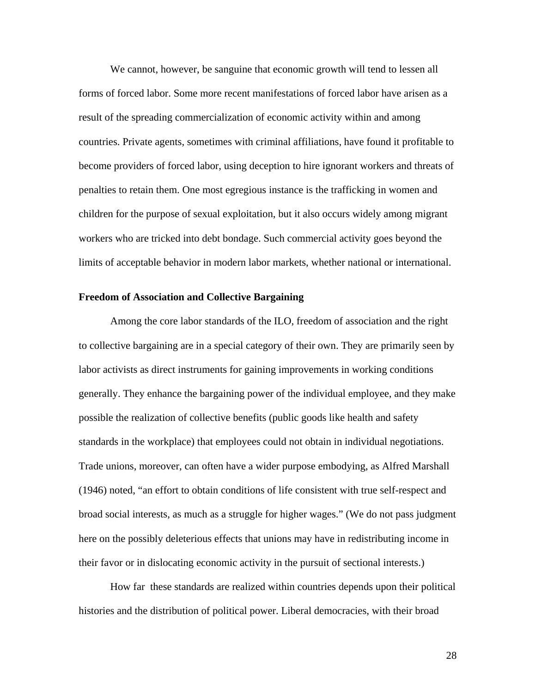We cannot, however, be sanguine that economic growth will tend to lessen all forms of forced labor. Some more recent manifestations of forced labor have arisen as a result of the spreading commercialization of economic activity within and among countries. Private agents, sometimes with criminal affiliations, have found it profitable to become providers of forced labor, using deception to hire ignorant workers and threats of penalties to retain them. One most egregious instance is the trafficking in women and children for the purpose of sexual exploitation, but it also occurs widely among migrant workers who are tricked into debt bondage. Such commercial activity goes beyond the limits of acceptable behavior in modern labor markets, whether national or international.

#### **Freedom of Association and Collective Bargaining**

 Among the core labor standards of the ILO, freedom of association and the right to collective bargaining are in a special category of their own. They are primarily seen by labor activists as direct instruments for gaining improvements in working conditions generally. They enhance the bargaining power of the individual employee, and they make possible the realization of collective benefits (public goods like health and safety standards in the workplace) that employees could not obtain in individual negotiations. Trade unions, moreover, can often have a wider purpose embodying, as Alfred Marshall (1946) noted, "an effort to obtain conditions of life consistent with true self-respect and broad social interests, as much as a struggle for higher wages." (We do not pass judgment here on the possibly deleterious effects that unions may have in redistributing income in their favor or in dislocating economic activity in the pursuit of sectional interests.)

How far these standards are realized within countries depends upon their political histories and the distribution of political power. Liberal democracies, with their broad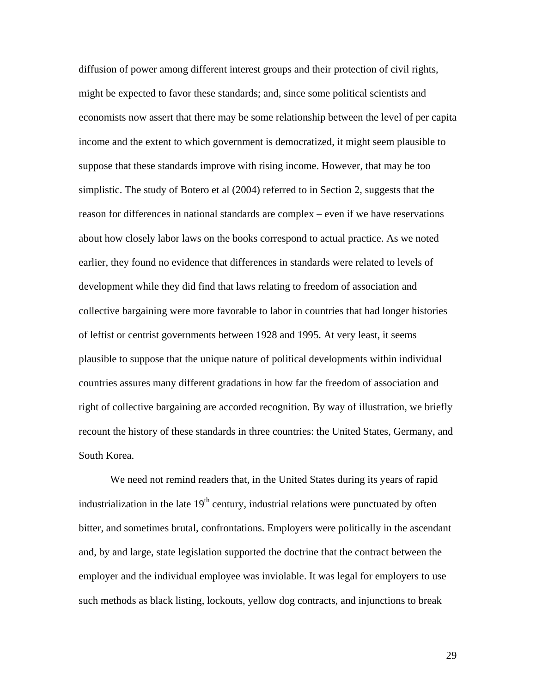diffusion of power among different interest groups and their protection of civil rights, might be expected to favor these standards; and, since some political scientists and economists now assert that there may be some relationship between the level of per capita income and the extent to which government is democratized, it might seem plausible to suppose that these standards improve with rising income. However, that may be too simplistic. The study of Botero et al (2004) referred to in Section 2, suggests that the reason for differences in national standards are complex – even if we have reservations about how closely labor laws on the books correspond to actual practice. As we noted earlier, they found no evidence that differences in standards were related to levels of development while they did find that laws relating to freedom of association and collective bargaining were more favorable to labor in countries that had longer histories of leftist or centrist governments between 1928 and 1995. At very least, it seems plausible to suppose that the unique nature of political developments within individual countries assures many different gradations in how far the freedom of association and right of collective bargaining are accorded recognition. By way of illustration, we briefly recount the history of these standards in three countries: the United States, Germany, and South Korea.

 We need not remind readers that, in the United States during its years of rapid industrialization in the late  $19<sup>th</sup>$  century, industrial relations were punctuated by often bitter, and sometimes brutal, confrontations. Employers were politically in the ascendant and, by and large, state legislation supported the doctrine that the contract between the employer and the individual employee was inviolable. It was legal for employers to use such methods as black listing, lockouts, yellow dog contracts, and injunctions to break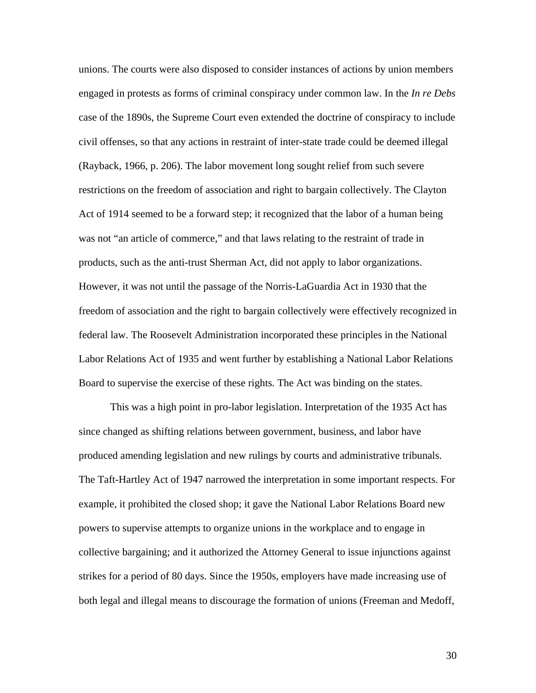unions. The courts were also disposed to consider instances of actions by union members engaged in protests as forms of criminal conspiracy under common law. In the *In re Debs*  case of the 1890s, the Supreme Court even extended the doctrine of conspiracy to include civil offenses, so that any actions in restraint of inter-state trade could be deemed illegal (Rayback, 1966, p. 206). The labor movement long sought relief from such severe restrictions on the freedom of association and right to bargain collectively. The Clayton Act of 1914 seemed to be a forward step; it recognized that the labor of a human being was not "an article of commerce," and that laws relating to the restraint of trade in products, such as the anti-trust Sherman Act, did not apply to labor organizations. However, it was not until the passage of the Norris-LaGuardia Act in 1930 that the freedom of association and the right to bargain collectively were effectively recognized in federal law. The Roosevelt Administration incorporated these principles in the National Labor Relations Act of 1935 and went further by establishing a National Labor Relations Board to supervise the exercise of these rights. The Act was binding on the states.

 This was a high point in pro-labor legislation. Interpretation of the 1935 Act has since changed as shifting relations between government, business, and labor have produced amending legislation and new rulings by courts and administrative tribunals. The Taft-Hartley Act of 1947 narrowed the interpretation in some important respects. For example, it prohibited the closed shop; it gave the National Labor Relations Board new powers to supervise attempts to organize unions in the workplace and to engage in collective bargaining; and it authorized the Attorney General to issue injunctions against strikes for a period of 80 days. Since the 1950s, employers have made increasing use of both legal and illegal means to discourage the formation of unions (Freeman and Medoff,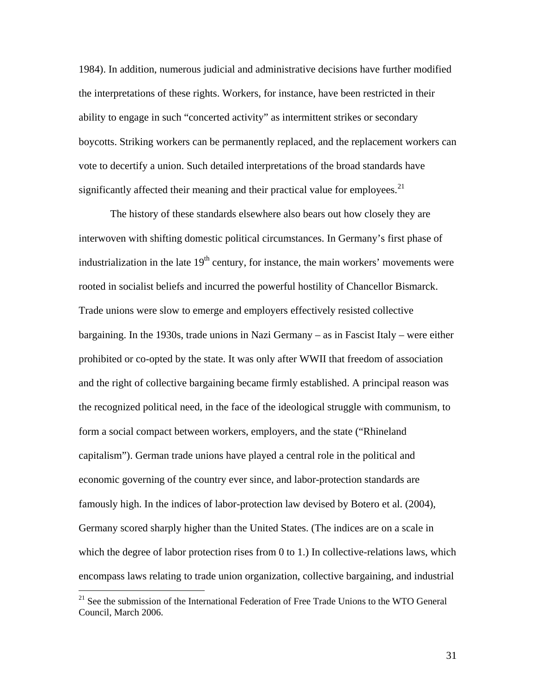1984). In addition, numerous judicial and administrative decisions have further modified the interpretations of these rights. Workers, for instance, have been restricted in their ability to engage in such "concerted activity" as intermittent strikes or secondary boycotts. Striking workers can be permanently replaced, and the replacement workers can vote to decertify a union. Such detailed interpretations of the broad standards have significantly affected their meaning and their practical value for employees.<sup>[21](#page-32-0)</sup>

 The history of these standards elsewhere also bears out how closely they are interwoven with shifting domestic political circumstances. In Germany's first phase of industrialization in the late  $19<sup>th</sup>$  century, for instance, the main workers' movements were rooted in socialist beliefs and incurred the powerful hostility of Chancellor Bismarck. Trade unions were slow to emerge and employers effectively resisted collective bargaining. In the 1930s, trade unions in Nazi Germany – as in Fascist Italy – were either prohibited or co-opted by the state. It was only after WWII that freedom of association and the right of collective bargaining became firmly established. A principal reason was the recognized political need, in the face of the ideological struggle with communism, to form a social compact between workers, employers, and the state ("Rhineland capitalism"). German trade unions have played a central role in the political and economic governing of the country ever since, and labor-protection standards are famously high. In the indices of labor-protection law devised by Botero et al. (2004), Germany scored sharply higher than the United States. (The indices are on a scale in which the degree of labor protection rises from 0 to 1.) In collective-relations laws, which encompass laws relating to trade union organization, collective bargaining, and industrial

<span id="page-32-0"></span><sup>&</sup>lt;sup>21</sup> See the submission of the International Federation of Free Trade Unions to the WTO General Council, March 2006.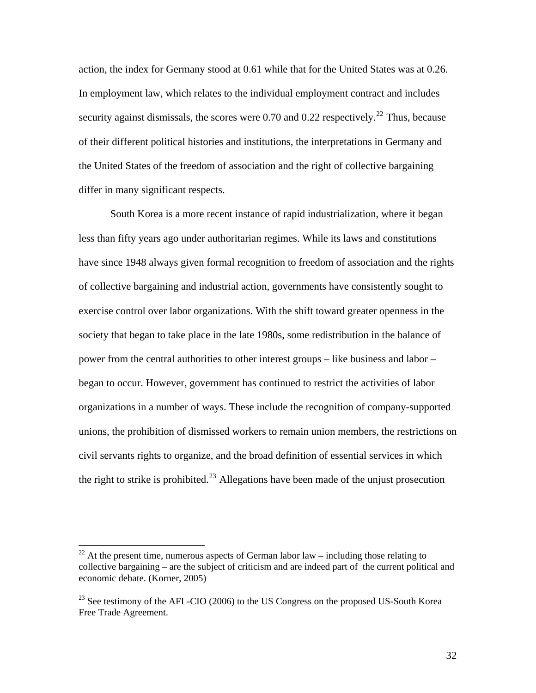action, the index for Germany stood at 0.61 while that for the United States was at 0.26. In employment law, which relates to the individual employment contract and includes security against dismissals, the scores were  $0.70$  and  $0.22$  $0.22$  respectively.<sup>22</sup> Thus, because of their different political histories and institutions, the interpretations in Germany and the United States of the freedom of association and the right of collective bargaining differ in many significant respects.

 South Korea is a more recent instance of rapid industrialization, where it began less than fifty years ago under authoritarian regimes. While its laws and constitutions have since 1948 always given formal recognition to freedom of association and the rights of collective bargaining and industrial action, governments have consistently sought to exercise control over labor organizations. With the shift toward greater openness in the society that began to take place in the late 1980s, some redistribution in the balance of power from the central authorities to other interest groups – like business and labor – began to occur. However, government has continued to restrict the activities of labor organizations in a number of ways. These include the recognition of company-supported unions, the prohibition of dismissed workers to remain union members, the restrictions on civil servants rights to organize, and the broad definition of essential services in which the right to strike is prohibited.<sup>[23](#page-33-1)</sup> Allegations have been made of the unjust prosecution

<span id="page-33-0"></span><sup>&</sup>lt;sup>22</sup> At the present time, numerous aspects of German labor  $law$  – including those relating to collective bargaining – are the subject of criticism and are indeed part of the current political and economic debate. (Korner, 2005)

<span id="page-33-1"></span> $^{23}$  See testimony of the AFL-CIO (2006) to the US Congress on the proposed US-South Korea Free Trade Agreement.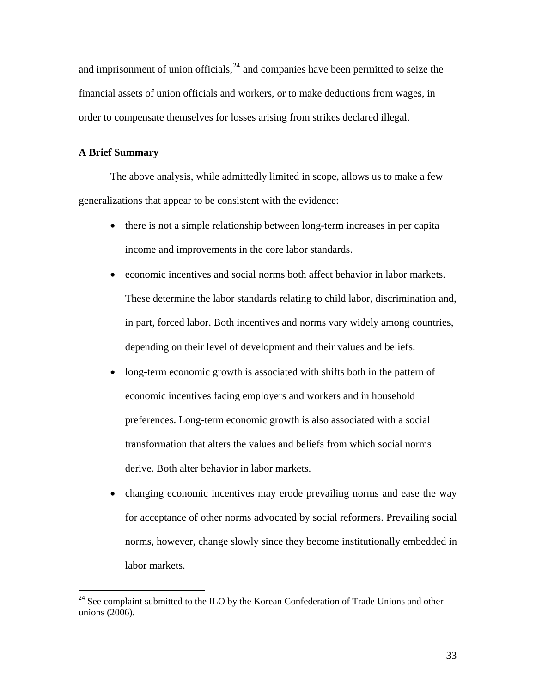and imprisonment of union officials,  $24$  and companies have been permitted to seize the financial assets of union officials and workers, or to make deductions from wages, in order to compensate themselves for losses arising from strikes declared illegal.

#### **A Brief Summary**

 $\overline{a}$ 

The above analysis, while admittedly limited in scope, allows us to make a few generalizations that appear to be consistent with the evidence:

- there is not a simple relationship between long-term increases in per capita income and improvements in the core labor standards.
- economic incentives and social norms both affect behavior in labor markets. These determine the labor standards relating to child labor, discrimination and, in part, forced labor. Both incentives and norms vary widely among countries, depending on their level of development and their values and beliefs.
- long-term economic growth is associated with shifts both in the pattern of economic incentives facing employers and workers and in household preferences. Long-term economic growth is also associated with a social transformation that alters the values and beliefs from which social norms derive. Both alter behavior in labor markets.
- changing economic incentives may erode prevailing norms and ease the way for acceptance of other norms advocated by social reformers. Prevailing social norms, however, change slowly since they become institutionally embedded in labor markets.

<span id="page-34-0"></span> $24$  See complaint submitted to the ILO by the Korean Confederation of Trade Unions and other unions (2006).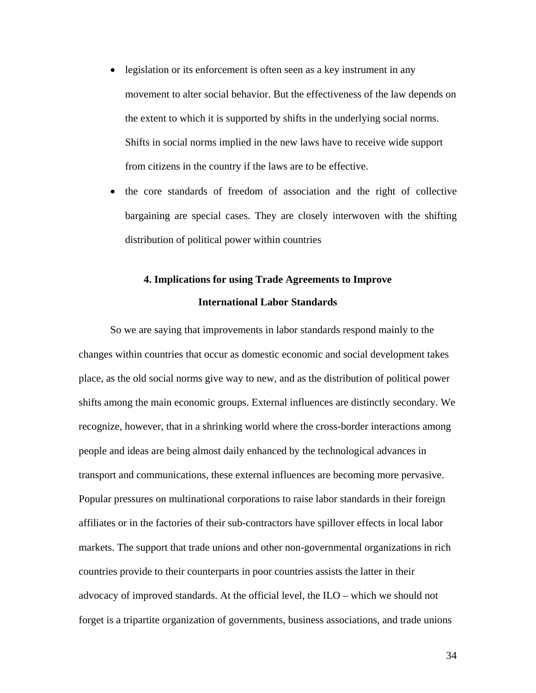- legislation or its enforcement is often seen as a key instrument in any movement to alter social behavior. But the effectiveness of the law depends on the extent to which it is supported by shifts in the underlying social norms. Shifts in social norms implied in the new laws have to receive wide support from citizens in the country if the laws are to be effective.
- the core standards of freedom of association and the right of collective bargaining are special cases. They are closely interwoven with the shifting distribution of political power within countries

## **4. Implications for using Trade Agreements to Improve International Labor Standards**

 So we are saying that improvements in labor standards respond mainly to the changes within countries that occur as domestic economic and social development takes place, as the old social norms give way to new, and as the distribution of political power shifts among the main economic groups. External influences are distinctly secondary. We recognize, however, that in a shrinking world where the cross-border interactions among people and ideas are being almost daily enhanced by the technological advances in transport and communications, these external influences are becoming more pervasive. Popular pressures on multinational corporations to raise labor standards in their foreign affiliates or in the factories of their sub-contractors have spillover effects in local labor markets. The support that trade unions and other non-governmental organizations in rich countries provide to their counterparts in poor countries assists the latter in their advocacy of improved standards. At the official level, the ILO – which we should not forget is a tripartite organization of governments, business associations, and trade unions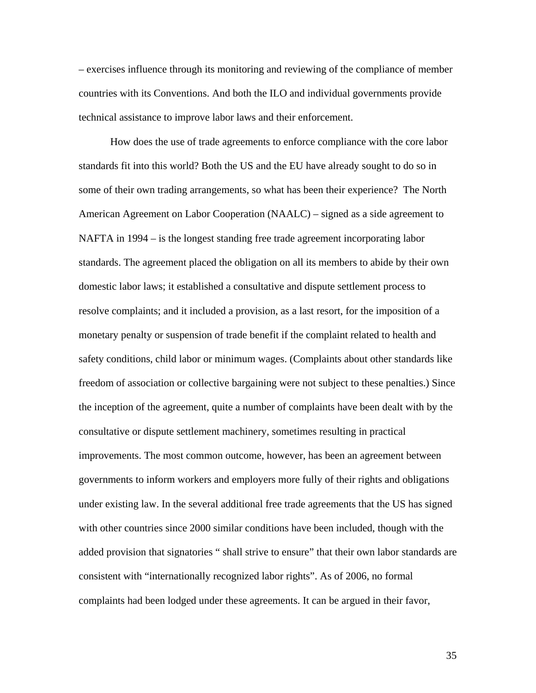– exercises influence through its monitoring and reviewing of the compliance of member countries with its Conventions. And both the ILO and individual governments provide technical assistance to improve labor laws and their enforcement.

How does the use of trade agreements to enforce compliance with the core labor standards fit into this world? Both the US and the EU have already sought to do so in some of their own trading arrangements, so what has been their experience? The North American Agreement on Labor Cooperation (NAALC) – signed as a side agreement to NAFTA in 1994 – is the longest standing free trade agreement incorporating labor standards. The agreement placed the obligation on all its members to abide by their own domestic labor laws; it established a consultative and dispute settlement process to resolve complaints; and it included a provision, as a last resort, for the imposition of a monetary penalty or suspension of trade benefit if the complaint related to health and safety conditions, child labor or minimum wages. (Complaints about other standards like freedom of association or collective bargaining were not subject to these penalties.) Since the inception of the agreement, quite a number of complaints have been dealt with by the consultative or dispute settlement machinery, sometimes resulting in practical improvements. The most common outcome, however, has been an agreement between governments to inform workers and employers more fully of their rights and obligations under existing law. In the several additional free trade agreements that the US has signed with other countries since 2000 similar conditions have been included, though with the added provision that signatories " shall strive to ensure" that their own labor standards are consistent with "internationally recognized labor rights". As of 2006, no formal complaints had been lodged under these agreements. It can be argued in their favor,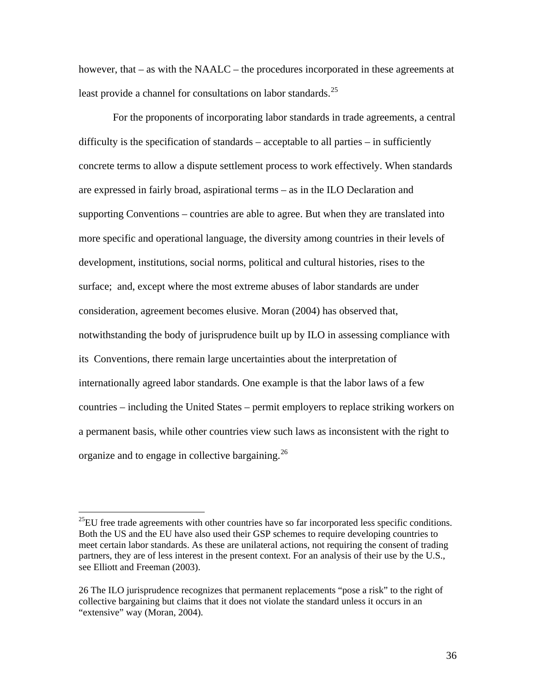however, that – as with the NAALC – the procedures incorporated in these agreements at least provide a channel for consultations on labor standards.<sup>[25](#page-37-0)</sup>

 For the proponents of incorporating labor standards in trade agreements, a central difficulty is the specification of standards – acceptable to all parties – in sufficiently concrete terms to allow a dispute settlement process to work effectively. When standards are expressed in fairly broad, aspirational terms – as in the ILO Declaration and supporting Conventions – countries are able to agree. But when they are translated into more specific and operational language, the diversity among countries in their levels of development, institutions, social norms, political and cultural histories, rises to the surface; and, except where the most extreme abuses of labor standards are under consideration, agreement becomes elusive. Moran (2004) has observed that, notwithstanding the body of jurisprudence built up by ILO in assessing compliance with its Conventions, there remain large uncertainties about the interpretation of internationally agreed labor standards. One example is that the labor laws of a few countries – including the United States – permit employers to replace striking workers on a permanent basis, while other countries view such laws as inconsistent with the right to organize and to engage in collective bargaining.<sup>[26](#page-37-1)</sup>

<span id="page-37-0"></span> $^{25}$ EU free trade agreements with other countries have so far incorporated less specific conditions. Both the US and the EU have also used their GSP schemes to require developing countries to meet certain labor standards. As these are unilateral actions, not requiring the consent of trading partners, they are of less interest in the present context. For an analysis of their use by the U.S., see Elliott and Freeman (2003).

<span id="page-37-1"></span><sup>26</sup> The ILO jurisprudence recognizes that permanent replacements "pose a risk" to the right of collective bargaining but claims that it does not violate the standard unless it occurs in an "extensive" way (Moran, 2004).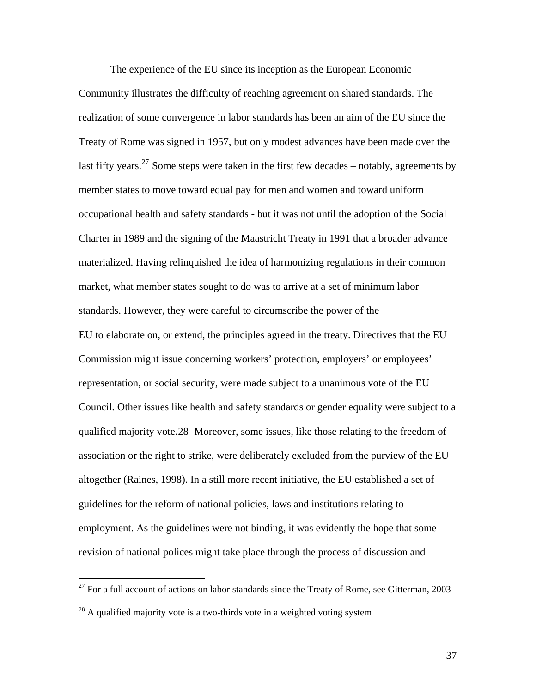The experience of the EU since its inception as the European Economic Community illustrates the difficulty of reaching agreement on shared standards. The realization of some convergence in labor standards has been an aim of the EU since the Treaty of Rome was signed in 1957, but only modest advances have been made over the last fifty years.<sup>[27](#page-38-0)</sup> Some steps were taken in the first few decades – notably, agreements by member states to move toward equal pay for men and women and toward uniform occupational health and safety standards - but it was not until the adoption of the Social Charter in 1989 and the signing of the Maastricht Treaty in 1991 that a broader advance materialized. Having relinquished the idea of harmonizing regulations in their common market, what member states sought to do was to arrive at a set of minimum labor standards. However, they were careful to circumscribe the power of the EU to elaborate on, or extend, the principles agreed in the treaty. Directives that the EU Commission might issue concerning workers' protection, employers' or employees' representation, or social security, were made subject to a unanimous vote of the EU Council. Other issues like health and safety standards or gender equality were subject to a qualified majority vote[.28](#page-38-1) Moreover, some issues, like those relating to the freedom of association or the right to strike, were deliberately excluded from the purview of the EU altogether (Raines, 1998). In a still more recent initiative, the EU established a set of guidelines for the reform of national policies, laws and institutions relating to employment. As the guidelines were not binding, it was evidently the hope that some revision of national polices might take place through the process of discussion and

 $\overline{a}$ 

<span id="page-38-0"></span> $27$  For a full account of actions on labor standards since the Treaty of Rome, see Gitterman, 2003

<span id="page-38-1"></span> $^{28}$  A qualified majority vote is a two-thirds vote in a weighted voting system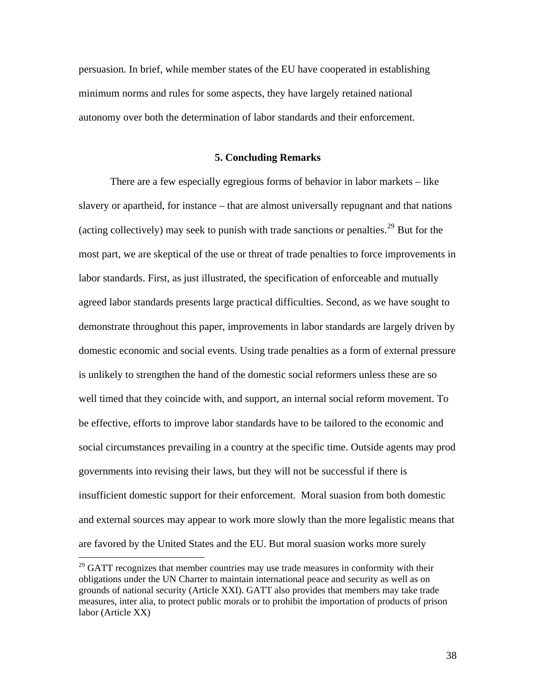persuasion. In brief, while member states of the EU have cooperated in establishing minimum norms and rules for some aspects, they have largely retained national autonomy over both the determination of labor standards and their enforcement.

#### **5. Concluding Remarks**

There are a few especially egregious forms of behavior in labor markets – like slavery or apartheid, for instance – that are almost universally repugnant and that nations (acting collectively) may seek to punish with trade sanctions or penalties.<sup>[29](#page-39-0)</sup> But for the most part, we are skeptical of the use or threat of trade penalties to force improvements in labor standards. First, as just illustrated, the specification of enforceable and mutually agreed labor standards presents large practical difficulties. Second, as we have sought to demonstrate throughout this paper, improvements in labor standards are largely driven by domestic economic and social events. Using trade penalties as a form of external pressure is unlikely to strengthen the hand of the domestic social reformers unless these are so well timed that they coincide with, and support, an internal social reform movement. To be effective, efforts to improve labor standards have to be tailored to the economic and social circumstances prevailing in a country at the specific time. Outside agents may prod governments into revising their laws, but they will not be successful if there is insufficient domestic support for their enforcement. Moral suasion from both domestic and external sources may appear to work more slowly than the more legalistic means that are favored by the United States and the EU. But moral suasion works more surely

<span id="page-39-0"></span> $29$  GATT recognizes that member countries may use trade measures in conformity with their obligations under the UN Charter to maintain international peace and security as well as on grounds of national security (Article XXI). GATT also provides that members may take trade measures, inter alia, to protect public morals or to prohibit the importation of products of prison labor (Article XX)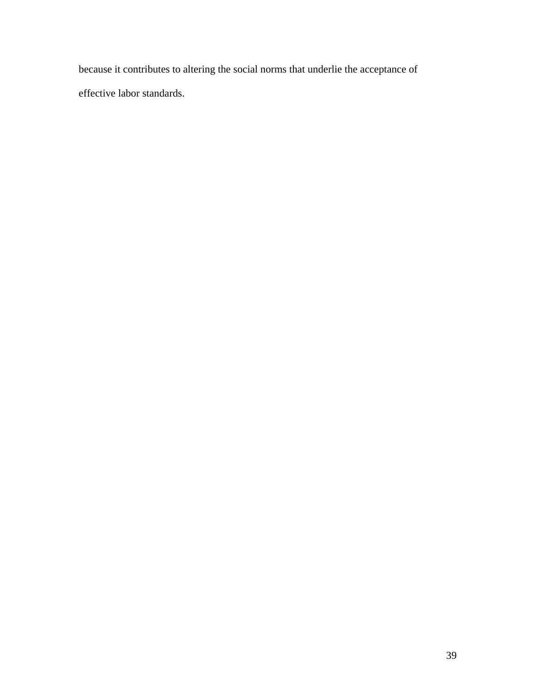because it contributes to altering the social norms that underlie the acceptance of effective labor standards.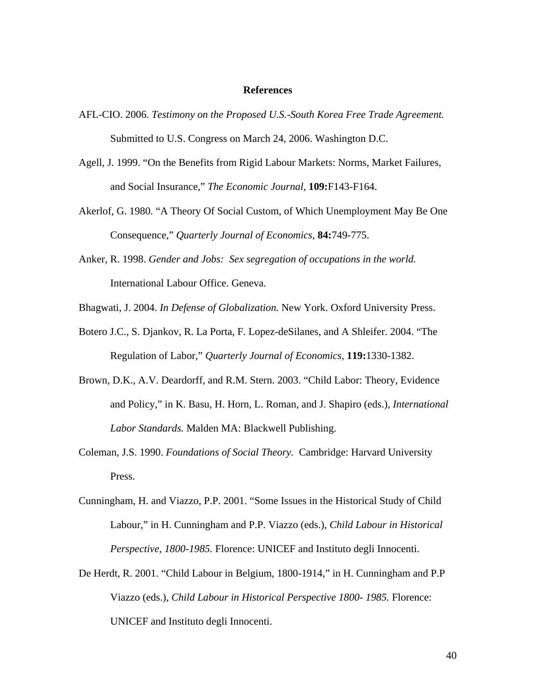#### **References**

- AFL-CIO. 2006. *Testimony on the Proposed U.S.-South Korea Free Trade Agreement.* Submitted to U.S. Congress on March 24, 2006. Washington D.C.
- Agell, J. 1999. "On the Benefits from Rigid Labour Markets: Norms, Market Failures, and Social Insurance," *The Economic Journal,* **109:**F143-F164.
- Akerlof, G. 1980. "A Theory Of Social Custom, of Which Unemployment May Be One Consequence," *Quarterly Journal of Economics*, **84:**749-775.
- Anker, R. 1998. *Gender and Jobs: Sex segregation of occupations in the world.*  International Labour Office. Geneva.

Bhagwati, J. 2004. *In Defense of Globalization.* New York. Oxford University Press.

- Botero J.C., S. Djankov, R. La Porta, F. Lopez-deSilanes, and A Shleifer. 2004. "The Regulation of Labor," *Quarterly Journal of Economics,* **119:**1330-1382.
- Brown, D.K., A.V. Deardorff, and R.M. Stern. 2003. "Child Labor: Theory, Evidence and Policy," in K. Basu, H. Horn, L. Roman, and J. Shapiro (eds.), *International Labor Standards.* Malden MA: Blackwell Publishing.
- Coleman, J.S. 1990. *Foundations of Social Theory.* Cambridge: Harvard University Press.
- Cunningham, H. and Viazzo, P.P. 2001. "Some Issues in the Historical Study of Child Labour," in H. Cunningham and P.P. Viazzo (eds.), *Child Labour in Historical Perspective, 1800-1985.* Florence: UNICEF and Instituto degli Innocenti.
- De Herdt, R. 2001. "Child Labour in Belgium, 1800-1914," in H. Cunningham and P.P Viazzo (eds.), *Child Labour in Historical Perspective 1800- 1985.* Florence: UNICEF and Instituto degli Innocenti.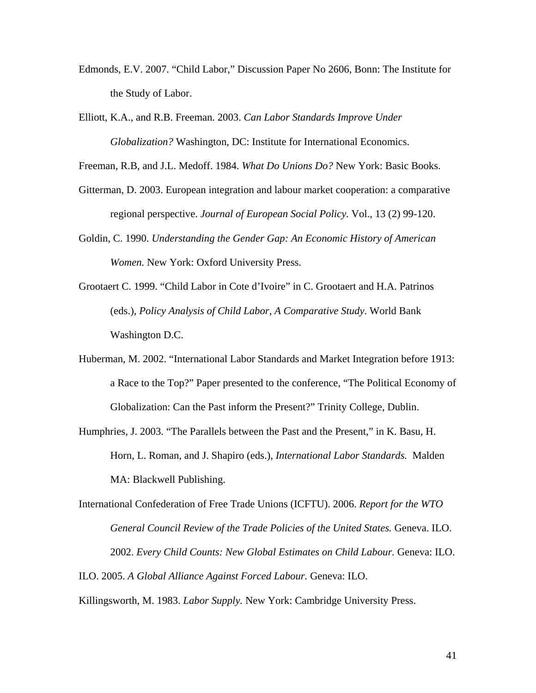- Edmonds, E.V. 2007. "Child Labor," Discussion Paper No 2606, Bonn: The Institute for the Study of Labor.
- Elliott, K.A., and R.B. Freeman. 2003. *Can Labor Standards Improve Under Globalization?* Washington, DC: Institute for International Economics.

Freeman, R.B, and J.L. Medoff. 1984. *What Do Unions Do?* New York: Basic Books.

- Gitterman, D. 2003. European integration and labour market cooperation: a comparative regional perspective. *Journal of European Social Policy.* Vol., 13 (2) 99-120.
- Goldin, C. 1990. *Understanding the Gender Gap: An Economic History of American Women.* New York: Oxford University Press.
- Grootaert C. 1999. "Child Labor in Cote d'Ivoire" in C. Grootaert and H.A. Patrinos (eds.), *Policy Analysis of Child Labor, A Comparative Study*. World Bank Washington D.C.
- Huberman, M. 2002. "International Labor Standards and Market Integration before 1913: a Race to the Top?" Paper presented to the conference, "The Political Economy of Globalization: Can the Past inform the Present?" Trinity College, Dublin.
- Humphries, J. 2003. "The Parallels between the Past and the Present," in K. Basu, H. Horn, L. Roman, and J. Shapiro (eds.), *International Labor Standards.* Malden MA: Blackwell Publishing.
- International Confederation of Free Trade Unions (ICFTU). 2006. *Report for the WTO General Council Review of the Trade Policies of the United States.* Geneva. ILO. 2002. *Every Child Counts: New Global Estimates on Child Labour.* Geneva: ILO.
- ILO. 2005. *A Global Alliance Against Forced Labour.* Geneva: ILO.

Killingsworth, M. 1983. *Labor Supply.* New York: Cambridge University Press.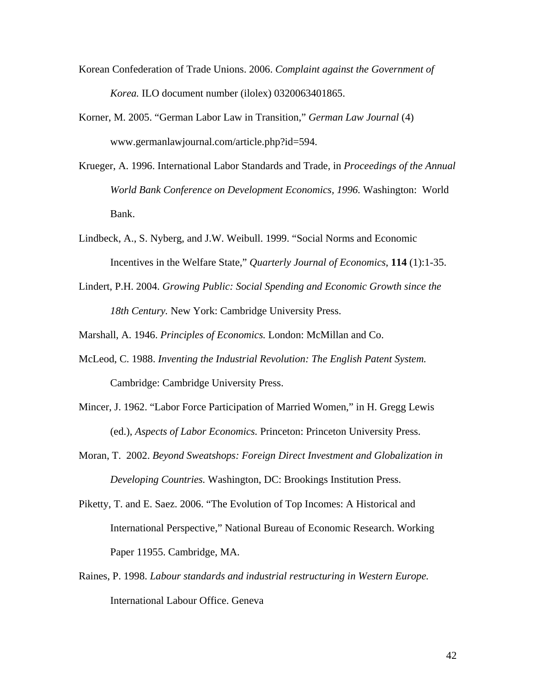- Korean Confederation of Trade Unions. 2006. *Complaint against the Government of Korea.* ILO document number (ilolex) 0320063401865.
- Korner, M. 2005. "German Labor Law in Transition," *German Law Journal* (4) [www.germanlaw](http://www.germanlaw/)journal.com/article.php?id=594.
- Krueger, A. 1996. International Labor Standards and Trade, in *Proceedings of the Annual World Bank Conference on Development Economics, 1996.* Washington: World Bank.
- Lindbeck, A., S. Nyberg, and J.W. Weibull. 1999. "Social Norms and Economic Incentives in the Welfare State," *Quarterly Journal of Economics*, **114** (1):1-35.
- Lindert, P.H. 2004. *Growing Public: Social Spending and Economic Growth since the 18th Century.* New York: Cambridge University Press.

Marshall, A. 1946. *Principles of Economics.* London: McMillan and Co.

- McLeod, C. 1988. *Inventing the Industrial Revolution: The English Patent System.*  Cambridge: Cambridge University Press.
- Mincer, J. 1962. "Labor Force Participation of Married Women," in H. Gregg Lewis (ed.), *Aspects of Labor Economics.* Princeton: Princeton University Press.
- Moran, T. 2002. *Beyond Sweatshops: Foreign Direct Investment and Globalization in Developing Countries.* Washington, DC: Brookings Institution Press.
- Piketty, T. and E. Saez. 2006. "The Evolution of Top Incomes: A Historical and International Perspective," National Bureau of Economic Research. Working Paper 11955. Cambridge, MA.
- Raines, P. 1998. *Labour standards and industrial restructuring in Western Europe.*  International Labour Office. Geneva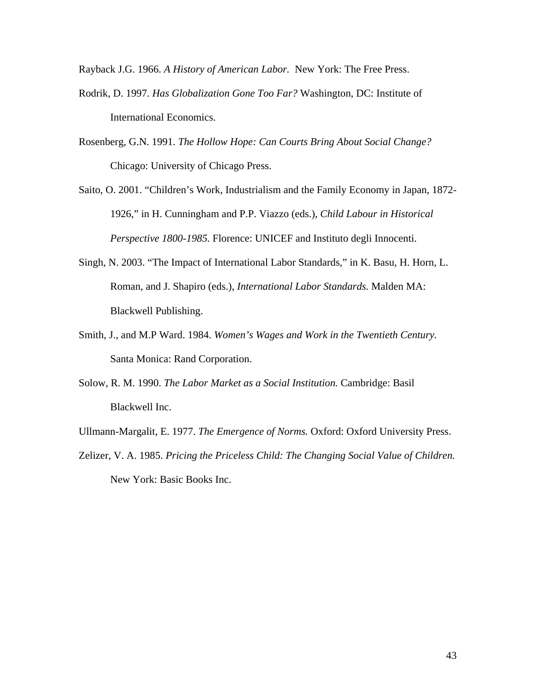Rayback J.G. 1966. *A History of American Labor.* New York: The Free Press.

- Rodrik, D. 1997. *Has Globalization Gone Too Far?* Washington, DC: Institute of International Economics.
- Rosenberg, G.N. 1991. *The Hollow Hope: Can Courts Bring About Social Change?* Chicago: University of Chicago Press.
- Saito, O. 2001. "Children's Work, Industrialism and the Family Economy in Japan, 1872- 1926," in H. Cunningham and P.P. Viazzo (eds.), *Child Labour in Historical Perspective 1800-1985.* Florence: UNICEF and Instituto degli Innocenti.
- Singh, N. 2003. "The Impact of International Labor Standards," in K. Basu, H. Horn, L. Roman, and J. Shapiro (eds.), *International Labor Standards.* Malden MA: Blackwell Publishing.
- Smith, J., and M.P Ward. 1984. *Women's Wages and Work in the Twentieth Century.*  Santa Monica: Rand Corporation.
- Solow, R. M. 1990. *The Labor Market as a Social Institution.* Cambridge: Basil Blackwell Inc.
- Ullmann-Margalit, E. 1977. *The Emergence of Norms.* Oxford: Oxford University Press.
- Zelizer, V. A. 1985. *Pricing the Priceless Child: The Changing Social Value of Children.* New York: Basic Books Inc.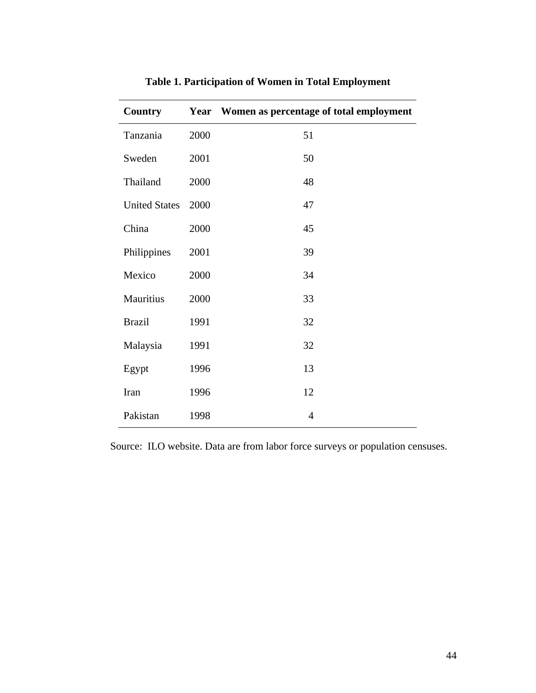| <b>Country</b>       |      | Year Women as percentage of total employment |
|----------------------|------|----------------------------------------------|
| Tanzania             | 2000 | 51                                           |
| Sweden               | 2001 | 50                                           |
| Thailand             | 2000 | 48                                           |
| <b>United States</b> | 2000 | 47                                           |
| China                | 2000 | 45                                           |
| Philippines          | 2001 | 39                                           |
| Mexico               | 2000 | 34                                           |
| Mauritius            | 2000 | 33                                           |
| <b>Brazil</b>        | 1991 | 32                                           |
| Malaysia             | 1991 | 32                                           |
| Egypt                | 1996 | 13                                           |
| Iran                 | 1996 | 12                                           |
| Pakistan             | 1998 | $\overline{4}$                               |

## **Table 1. Participation of Women in Total Employment**

Source: ILO website. Data are from labor force surveys or population censuses.